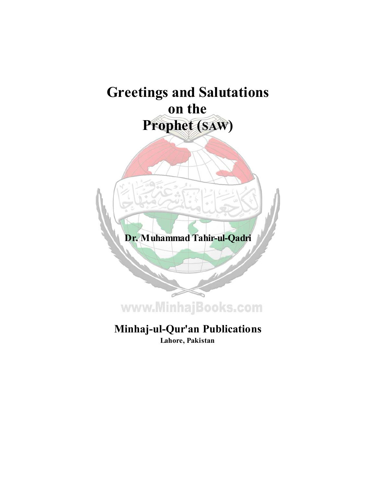# **Greetings and Salutations on the Prophet (SAW)**

# **Dr. Muhammad Tahir-ul-Qadri**

# www.MinhajBooks.com

## **Minhaj-ul-Qur'an Publications Lahore, Pakistan**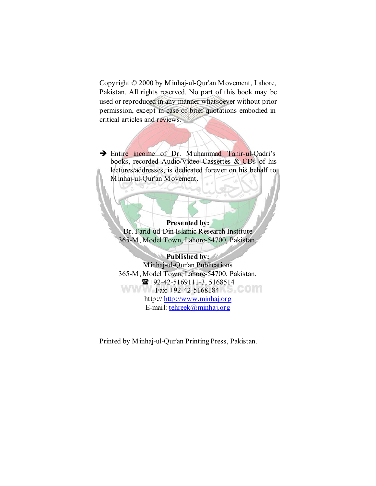Copyright © 2000 by Minhaj-ul-Qur'an Movement, Lahore, Pakistan. All rights reserved. No part of this book may be used or reproduced in any manner whatsoever without prior permission, except in case of brief quotations embodied in critical articles and reviews.

 $\rightarrow$  Entire income of Dr. Muhammad Tahir-ul-Qadri's books, recorded Audio/Video Cassettes & CDs of his lectures/addresses, is dedicated forever on his behalf to Minhaj-ul-Qur'an Movement.

> **Presented by:**  Dr. Farid-ud-Din Islamic Research Institute 365-M, Model Town, Lahore-54700, Pakistan.

**Published by:**  Minhaj-ul-Qur'an Publications 365-M, Model Town, Lahore-54700, Pakistan.  $\mathbf{F}$ +92-42-5169111-3, 5168514 Fax: +92-42-5168184

> http:// <http://www.minhaj.org> E-mail:  $t$ ehreek@minhaj.org

Printed by Minhaj-ul-Qur'an Printing Press, Pakistan.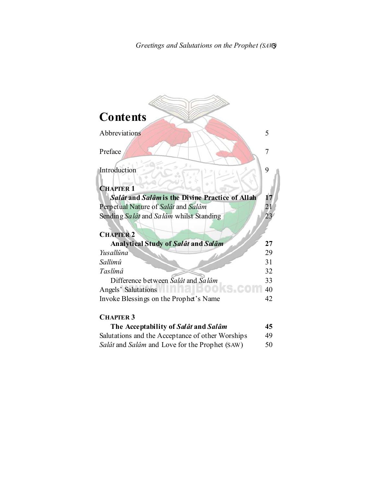| <b>Contents</b>                                  |    |
|--------------------------------------------------|----|
| Abbreviations                                    | 5  |
| Preface                                          | 7  |
| Introduction                                     | 9  |
| <b>CHAPTER 1</b>                                 |    |
| Salât and Salâm is the Divine Practice of Allah  | 17 |
| Perpetual Nature of Salât and Salâm              | 21 |
| Sending Salât and Salâm whilst Standing          | 23 |
|                                                  |    |
| <b>CHAPTER 2</b>                                 |    |
| Analytical Study of Salât and Salâm              | 27 |
| Yusallûna                                        | 29 |
| Sallimû                                          | 31 |
| Taslîmâ                                          | 32 |
| Difference between Salât and Salâm               | 33 |
| Angels' Salutations                              | 40 |
| Invoke Blessings on the Prophet's Name           | 42 |
| <b>CHAPTER 3</b>                                 |    |
| The Acceptability of Salât and Salâm             | 45 |
| Salutations and the Acceptance of other Worships | 49 |

*Salât* and *Salâm* and Love for the Prophet (SAW) 50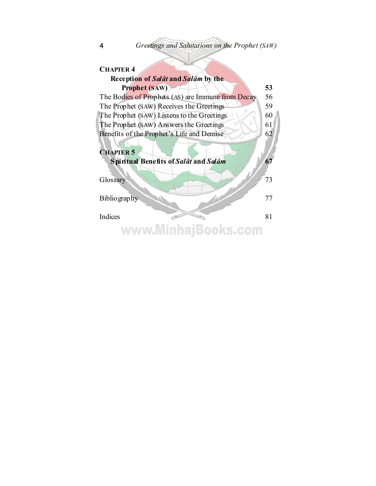4 *Greetings and Salutations on the Prophet (SAW)* 

| <b>CHAPTER 4</b>                                          |    |
|-----------------------------------------------------------|----|
| Reception of Salât and Salâm by the                       |    |
| <b>Prophet (SAW)</b>                                      | 53 |
| The Bodies of Prophets (AS) are Immune from Decay         | 56 |
| The Prophet (SAW) Receives the Greetings                  | 59 |
| The Prophet (SAW) Listens to the Greetings                | 60 |
| The Prophet (SAW) Answers the Greetings                   | 61 |
| Benefits of the Prophet's Life and Demise                 | 62 |
| <b>CHAPTER 5</b><br>Spiritual Benefits of Salât and Salâm | 67 |
| Glossary                                                  | 73 |
| Biblio graphy                                             | 77 |
| Indices                                                   | 81 |
| v.MinhaiBooks.com                                         |    |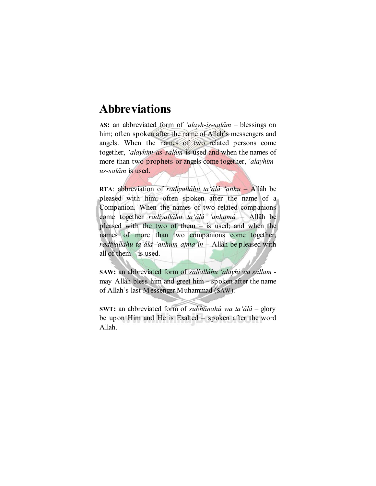# **Abbreviations**

**AS:** an abbreviated form of *'alayh-is-salâm* – blessings on him; often spoken after the name of Allah's messengers and angels. When the names of two related persons come together, *'alayhim-as-salâm* is used and when the names of more than two prophets or angels come together, *'alayhimus-salâm* is used.

**RTA**: abbreviation of *radiyallâhu ta'âlâ 'anhu* – Allâh be pleased with him; often spoken after the name of a Companion. When the names of two related companions come together *radiyallâhu ta'âlâ 'anhumâ* – Allâh be pleased with the two of them – is used; and when the names of more than two companions come together, *radiyallâhu ta'âlâ 'anhum ajma'în* – Allâh be pleased with all of them – is used.

**SAW:** an abbreviated form of *sallallâhu 'alayhi wa sallam* may Allâh bless him and greet him – spoken after the name of Allah's last Messenger Muhammad (SAW).

**SWT:** an abbreviated form of *subhânahû wa ta'âlâ* – glory be upon Him and He is Exalted – spoken after the word Allah.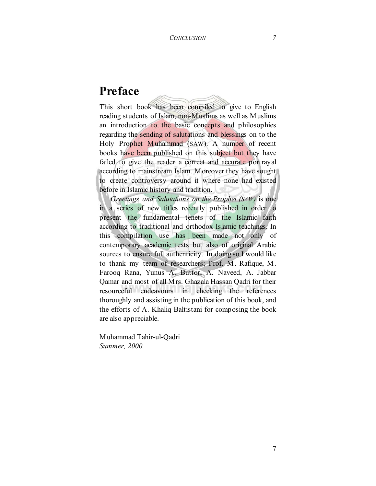# **Preface**

This short book has been compiled to give to English reading students of Islam, non-Muslims as well as Muslims an introduction to the basic concepts and philosophies regarding the sending of salutations and blessings on to the Holy Prophet Muhammad (SAW). A number of recent books have been published on this subject but they have failed to give the reader a correct and accurate portrayal according to mainstream Islam. Moreover they have sought to create controversy around it where none had existed before in Islamic history and tradition.

*Greetings and Salutations on the Prophet (SAW)* is one in a series of new titles recently published in order to present the fundamental tenets of the Islamic faith according to traditional and orthodox Islamic teachings. In this compilation use has been made not only of contemporary academic texts but also of original Arabic sources to ensure full authenticity. In doing so I would like to thank my team of researchers; Prof. M. Rafique, M. Farooq Rana, Yunus A. Buttor, A. Naveed, A. Jabbar Qamar and most of all Mrs. Ghazala Hassan Qadri for their resourceful endeavours in checking the references thoroughly and assisting in the publication of this book, and the efforts of A. Khaliq Baltistani for composing the book are also appreciable.

Muhammad Tahir-ul-Qadri *Summer, 2000.*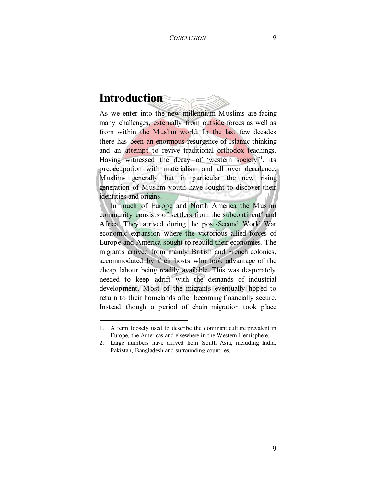# **Introduction**

As we enter into the new millennium Muslims are facing many challenges, externally from outside forces as well as from within the Muslim world. In the last few decades there has been an enormous resurgence of Islamic thinking and an attempt to revive traditional orthodox teachings. Having witnessed the decay of 'western society'<sup>1</sup>, its preoccupation with materialism and all over decadence, Muslims generally but in particular the new rising generation of Muslim youth have sought to discover their identities and origins.

In much of Europe and North America the Muslim community consists of settlers from the subcontinent<sup>2</sup> and Africa. They arrived during the post-Second World War economic expansion where the victorious allied forces of Europe and America sought to rebuild their economies. The migrants arrived from mainly British and French colonies, accommodated by their hosts who took advantage of the cheap labour being readily available. This was desperately needed to keep adrift with the demands of industrial development. Most of the migrants eventually hoped to return to their homelands after becoming financially secure. Instead though a period of chain–migration took place

<sup>1.</sup> A term loosely used to describe the dominant culture prevalent in Europe, the Americas and elsewhere in the Western Hemisphere.

<sup>2.</sup> Large numbers have arrived from South Asia, including India, Pakistan, Bangladesh and surrounding countries.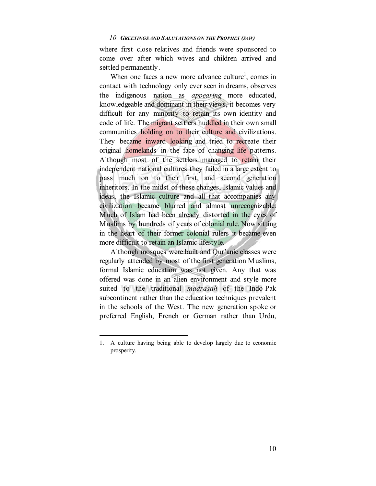where first close relatives and friends were sponsored to come over after which wives and children arrived and settled permanently.

When one faces a new more advance culture<sup>1</sup>, comes in contact with technology only ever seen in dreams, observes the indigenous nation as *appearing* more educated, knowledgeable and dominant in their views, it becomes very difficult for any minority to retain its own identity and code of life. The migrant settlers huddled in their own small communities holding on to their culture and civilizations. They became inward looking and tried to recreate their original homelands in the face of changing life patterns. Although most of the settlers managed to retain their independent national cultures they failed in a large extent to pass much on to their first, and second generation inheritors. In the midst of these changes, Islamic values and ideas, the Islamic culture and all that accompanies any civilization became blurred and almost unrecognizable. Much of Islam had been already distorted in the eyes of Muslims by hundreds of years of colonial rule. Now sitting in the heart of their former colonial rulers it became even more difficult to retain an Islamic lifestyle.

Although mosques were built and Qur'anic classes were regularly attended by most of the first generation Muslims, formal Islamic education was not given. Any that was offered was done in an alien environment and style more suited to the traditional *madrasah* of the Indo-Pak subcontinent rather than the education techniques prevalent in the schools of the West. The new generation spoke or preferred English, French or German rather than Urdu,

<sup>1.</sup> A culture having being able to develop largely due to economic prosperity.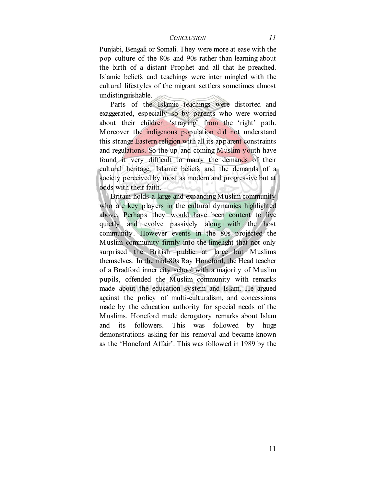Punjabi, Bengali or Somali. They were more at ease with the pop culture of the 80s and 90s rather than learning about the birth of a distant Prophet and all that he preached. Islamic beliefs and teachings were inter mingled with the cultural lifestyles of the migrant settlers sometimes almost undistinguishable.

Parts of the Islamic teachings were distorted and exaggerated, especially so by parents who were worried about their children 'straying' from the 'right' path. Moreover the indigenous population did not understand this strange Eastern religion with all its apparent constraints and regulations. So the up and coming Muslim youth have found it very difficult to marry the demands of their cultural heritage, Islamic beliefs and the demands of a society perceived by most as modern and progressive but at odds with their faith.

Britain holds a large and expanding Muslim community who are key players in the cultural dynamics highlighted above. Perhaps they would have been content to live quietly and evolve passively along with the host community. However events in the 80s projected the Muslim community firmly into the limelight that not only surprised the British public at large but Muslims themselves. In the mid-80s Ray Honeford, the Head teacher of a Bradford inner city school with a majority of Muslim pupils, offended the Muslim community with remarks made about the education system and Islam. He argued against the policy of multi-culturalism, and concessions made by the education authority for special needs of the Muslims. Honeford made derogatory remarks about Islam and its followers. This was followed by huge demonstrations asking for his removal and became known as the 'Honeford Affair'. This was followed in 1989 by the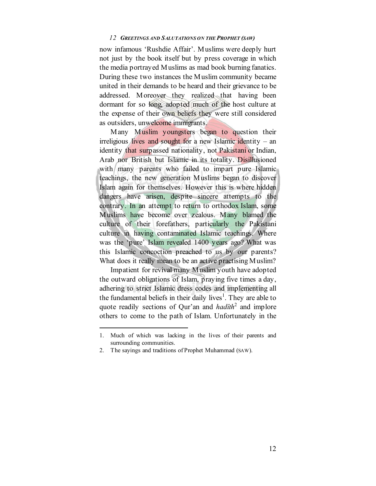now infamous 'Rushdie Affair'. Muslims were deeply hurt not just by the book itself but by press coverage in which the media portrayed Muslims as mad book burning fanatics. During these two instances the Muslim community became united in their demands to be heard and their grievance to be addressed. Moreover they realized that having been dormant for so long, adopted much of the host culture at the expense of their own beliefs they were still considered as outsiders, unwelcome immigrants.

Many Muslim youngsters began to question their irreligious lives and sought for a new Islamic identity – an identity that surpassed nationality, not Pakistani or Indian, Arab nor British but Islamic in its totality. Disillusioned with many parents who failed to impart pure Islamic teachings, the new generation Muslims began to discover Islam again for themselves. However this is where hidden dangers have arisen, despite sincere attempts to the contrary. In an attempt to return to orthodox Islam, some Muslims have become over zealous. Many blamed the culture of their forefathers, particularly the Pakistani culture in having contaminated Islamic teachings. Where was the 'pure' Islam revealed 1400 years ago? What was this Islamic concoction preached to us by our parents? What does it really mean to be an active practising Muslim?

Impatient for revival many Muslim youth have adopted the outward obligations of Islam, praying five times a day, adhering to strict Islamic dress codes and implementing all the fundamental beliefs in their daily lives<sup>1</sup>. They are able to quote readily sections of Qur'an and *hadîth*<sup>2</sup> and implore others to come to the path of Islam. Unfortunately in the

<sup>1.</sup> Much of which was lacking in the lives of their parents and surrounding communities.

<sup>2.</sup> The sayings and traditions ofProphet Muhammad (SAW).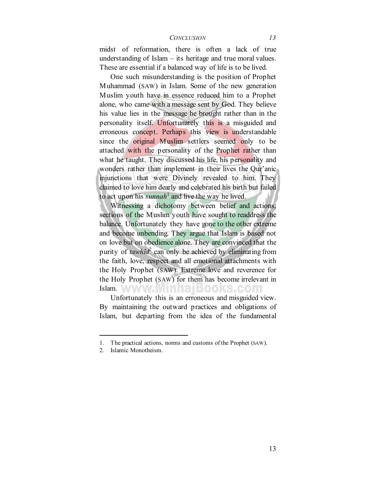midst of reformation, there is often a lack of true understanding of Islam – its heritage and true moral values. These are essential if a balanced way of life is to be lived.

One such misunderstanding is the position of Prophet Muhammad (SAW) in Islam. Some of the new generation Muslim youth have in essence reduced him to a Prophet alone, who came with a message sent by God. They believe his value lies in the message he brought rather than in the personality itself. Unfortunately this is a misguided and erroneous concept. Perhaps this view is understandable since the original Muslim settlers seemed only to be attached with the personality of the Prophet rather than what he taught. They discussed his life, his personality and wonders rather than implement in their lives the Qur'anic injunctions that were Divinely revealed to him. They claimed to love him dearly and celebrated his birth but failed to act upon his *sunnah*<sup>1</sup> and live the way he lived.

Witnessing a dichotomy between belief and actions, sections of the Muslim youth have sought to readdress the balance. Unfortunately they have gone to the other extreme and become unbending. They argue that Islam is based not on love but on obedience alone. They are convinced that the purity of *tawhîd*<sup>2</sup> can only be achieved by eliminating from the faith, love, respect and all emotional attachments with the Holy Prophet (SAW). Extreme love and reverence for the Holy Prophet (SAW) for them has become irrelevant in Islam. WW. Wimina

Unfortunately this is an erroneous and misguided view. By maintaining the outward practices and obligations of Islam, but departing from the idea of the fundamental

<sup>1.</sup> The practical actions, norms and customs of the Prophet (SAW).

<sup>2.</sup> Islamic Monotheism.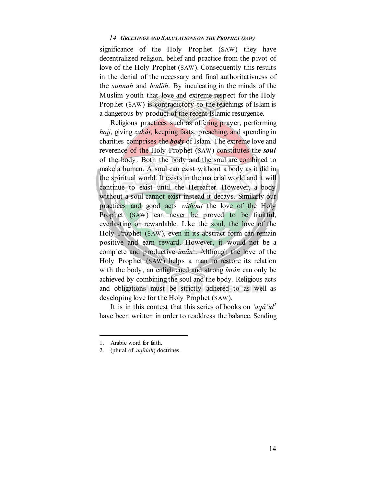significance of the Holy Prophet (SAW) they have decentralized religion, belief and practice from the pivot of love of the Holy Prophet (SAW). Consequently this results in the denial of the necessary and final authoritativness of the *sunnah* and *hadîth*. By inculcating in the minds of the Muslim youth that love and extreme respect for the Holy Prophet (SAW) is contradictory to the teachings of Islam is a dangerous by product of the recent Islamic resurgence.

Religious practices such as offering prayer, performing *hajj*, giving *zakât*, keeping fasts, preaching, and spending in charities comprises the *body* of Islam. The extreme love and reverence of the Holy Prophet (SAW) constitutes the *soul* of the body. Both the body and the soul are combined to make a human. A soul can exist without a body as it did in the spiritual world. It exists in the material world and it will continue to exist until the Hereafter. However, a body without a soul cannot exist instead it decays. Similarly our practices and good acts *without* the love of the Holy Prophet (SAW) can never be proved to be fruitful, everlasting or rewardable. Like the soul, the love of the Holy Prophet (SAW), even in its abstract form can remain positive and earn reward. However, it would not be a complete and productive *îmân*<sup>1</sup> . Although the love of the Holy Prophet (SAW) helps a man to restore its relation with the body, an enlightened and strong *îmân* can only be achieved by combining the soul and the body. Religious acts and obligations must be strictly adhered to as well as developing love for the Holy Prophet (SAW).

It is in this context that this series of books on *'aqâ'id*<sup>2</sup> have been written in order to readdress the balance. Sending

<sup>1.</sup> Arabic word for faith.

<sup>2.</sup> (plural of *'aqîdah*) doctrines.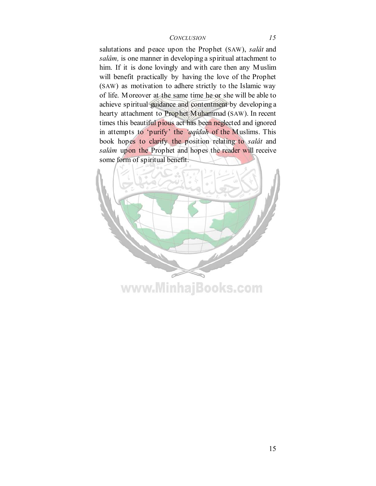salutations and peace upon the Prophet (SAW), *salât* and *salâm,* is one manner in developing a spiritual attachment to him. If it is done lovingly and with care then any Muslim will benefit practically by having the love of the Prophet (SAW) as motivation to adhere strictly to the Islamic way of life. Moreover at the same time he or she will be able to achieve spiritual guidance and contentment by developing a hearty attachment to Prophet Muhammad (SAW). In recent times this beautiful pious act has been neglected and ignored in attempts to 'purify' the *'aqîdah* of the Muslims. This book hopes to clarify the position relating to *salât* and *salâm* upon the Prophet and hopes the reader will receive some form of spiritual benefit.

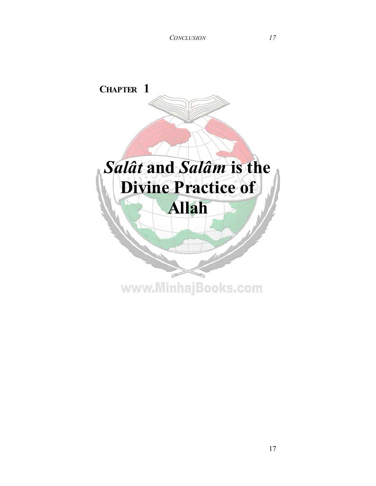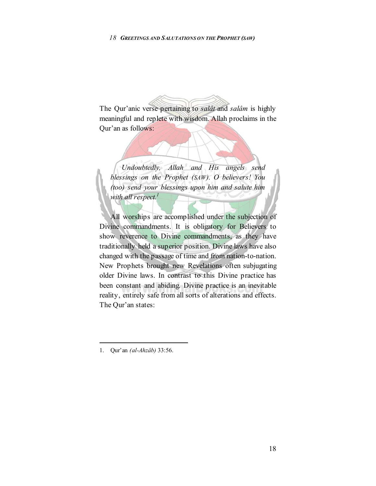The Qur'anic verse pertaining to *salât* and *salâm* is highly meaningful and replete with wisdom. Allah proclaims in the Qur'an as follows:

*Undoubtedly, Allah and His angels send blessings on the Prophet (SAW). O believers! You (too) send your blessings upon him and salute him with all respect.<sup>1</sup>*

All worships are accomplished under the subjection of Divine commandments. It is obligatory for Believers to show reverence to Divine commandments, as they have traditionally held a superior position. Divine laws have also changed with the passage of time and from nation-to-nation. New Prophets brought new Revelations often subjugating older Divine laws. In contrast to this Divine practice has been constant and abiding. Divine practice is an inevitable reality, entirely safe from all sorts of alterations and effects. The Qur'an states:

<sup>1.</sup> Qur'an *(al-Ahzâb)* 33:56.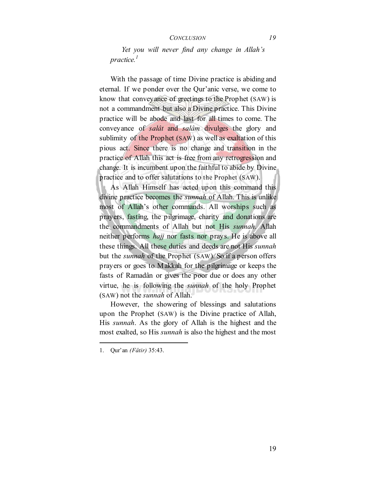*Yet you will never find any change in Allah's practice.<sup>1</sup>*

With the passage of time Divine practice is abiding and eternal. If we ponder over the Qur'anic verse, we come to know that conveyance of greetings to the Prophet (SAW) is not a commandment but also a Divine practice. This Divine practice will be abode and last for all times to come. The conveyance of *salât* and *salâm* divulges the glory and sublimity of the Prophet (SAW) as well as exaltation of this pious act. Since there is no change and transition in the practice of Allah this act is free from any retrogression and change. It is incumbent upon the faithful to abide by Divine practice and to offer salutations to the Prophet (SAW).

As Allah Himself has acted upon this command this divine practice becomes the *sunnah* of Allah. This is unlike most of Allah's other commands. All worships such as prayers, fasting, the pilgrimage, charity and donations are the commandments of Allah but not His *sunnah*. Allah neither performs *hajj* nor fasts nor prays. He is above all these things. All these duties and deeds are not His *sunnah* but the *sunnah* of the Prophet (SAW). So if a person offers prayers or goes to Makkah for the pilgrimage or keeps the fasts of Ramadân or gives the poor due or does any other virtue, he is following the *sunnah* of the holy Prophet (SAW) not the *sunnah* of Allah.

However, the showering of blessings and salutations upon the Prophet (SAW) is the Divine practice of Allah, His *sunnah*. As the glory of Allah is the highest and the most exalted, so His *sunnah* is also the highest and the most

<sup>1.</sup> Qur'an *(Fâtir)* 35:43.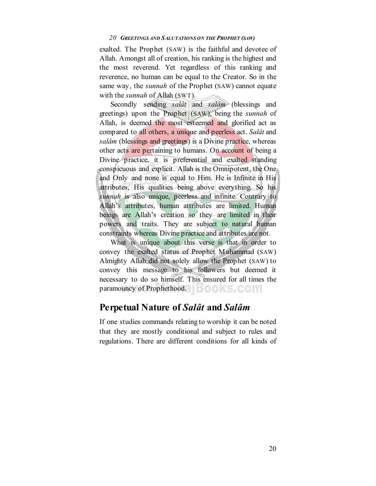exalted. The Prophet (SAW) is the faithful and devotee of Allah. Amongst all of creation, his ranking is the highest and the most reverend. Yet regardless of this ranking and reverence, no human can be equal to the Creator. So in the same way, the *sunnah* of the Prophet (SAW) cannot equate with the *sunnah* of Allah (SWT).

Secondly sending *salât* and *salâm* (blessings and greetings) upon the Prophet (SAW), being the *sunnah* of Allah, is deemed the most esteemed and glorified act as compared to all others, a unique and peerless act. *Salât* and *salâm* (blessings and greetings) is a Divine practice, whereas other acts are pertaining to humans. On account of being a Divine practice, it is preferential and exalted standing conspicuous and explicit. Allah is the Omnipotent, the One and Only and none is equal to Him. He is Infinite in His attributes, His qualities being above everything. So his *sunnah* is also unique, peerless and infinite. Contrary to Allah's attributes, human attributes are limited. Human beings are Allah's creation so they are limited in their powers and traits. They are subject to natural human constraints whereas Divine practice and attributes are not.

What is unique about this verse is that in order to convey the exalted status of Prophet Muhammad (SAW) Almighty Allah did not solely allow the Prophet (SAW) to convey this message to his followers but deemed it necessary to do so himself. This ensured for all times the paramouncy of Prophethood. **DESCOMM** 

## **Perpetual Nature of** *Salât* **and** *Salâm*

If one studies commands relating to worship it can be noted that they are mostly conditional and subject to rules and regulations. There are different conditions for all kinds of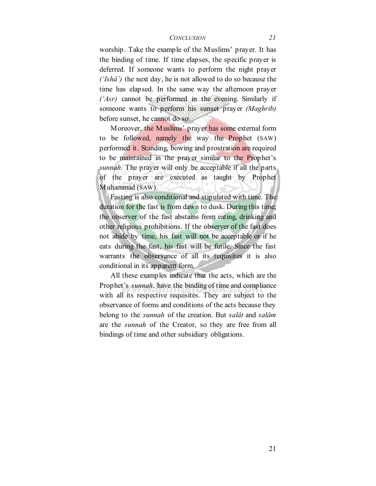worship. Take the example of the Muslims' prayer. It has the binding of time. If time elapses, the specific prayer is deferred. If someone wants to perform the night prayer *('Ishâ')* the next day, he is not allowed to do so because the time has elapsed. In the same way the afternoon prayer *('Asr)* cannot be performed in the evening. Similarly if someone wants to perform his sunset prayer *(Maghrib)* before sunset, he cannot do so.

Moreover, the Muslims' prayer has some external form to be followed, namely the way the Prophet (SAW) performed it. Standing, bowing and prostration are required to be maintained in the prayer similar to the Prophet's *sunnah.* The prayer will only be acceptable if all the parts of the prayer are executed as taught by Prophet Muhammad (SAW).

Fasting is also conditional and stipulated with time. The duration for the fast is from dawn to dusk. During this time, the observer of the fast abstains from eating, drinking and other religious prohibitions. If the observer of the fast does not abide by time, his fast will not be acceptable or if he eats during the fast, his fast will be futile. Since the fast warrants the observance of all its requisites it is also conditional in its apparent form.

All these examples indicate that the acts, which are the Prophet's *sunnah*, have the binding of time and compliance with all its respective requisites. They are subject to the observance of forms and conditions of the acts because they belong to the *sunnah* of the creation. But *salât* and *salâm*  are the *sunnah* of the Creator, so they are free from all bindings of time and other subsidiary obligations.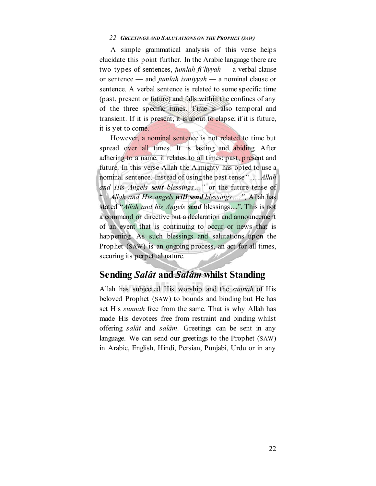A simple grammatical analysis of this verse helps elucidate this point further. In the Arabic language there are two types of sentences, *jumlah fi'liyyah —* a verbal clause or sentence — and *jumlah ismiyyah —* a nominal clause or sentence. A verbal sentence is related to some specific time (past, present or future) and falls within the confines of any of the three specific times. Time is also temporal and transient. If it is present, it is about to elapse; if it is future, it is yet to come.

However, a nominal sentence is not related to time but spread over all times. It is lasting and abiding. After adhering to a name, it relates to all times; past, present and future. In this verse Allah the Almighty has opted to use a nominal sentence. Instead of using the past tense "…..*Allah and His Angels sent blessings…"* or the future tense of "…*Allah and His angels will send blessings….",* Allah has stated "*Allah and his Angels send* blessings…". This is not a command or directive but a declaration and announcement of an event that is continuing to occur or news that is happening. As such blessings and salutations upon the Prophet (SAW) is an ongoing process, an act for all times, securing its perpetual nature.

### **Sending** *Salât* **and** *Salâm* **whilst Standing**

Allah has subjected His worship and the *sunnah* of His beloved Prophet (SAW) to bounds and binding but He has set His *sunnah* free from the same. That is why Allah has made His devotees free from restraint and binding whilst offering *salât* and *salâm.* Greetings can be sent in any language. We can send our greetings to the Prophet (SAW) in Arabic, English, Hindi, Persian, Punjabi, Urdu or in any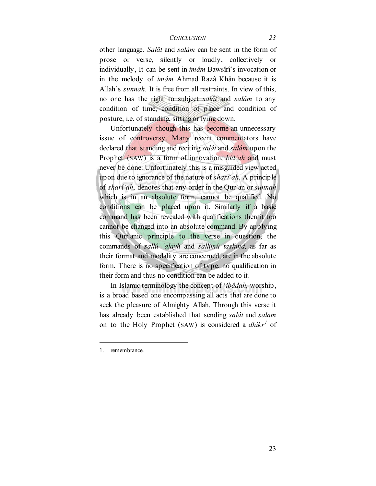other language. *Salât* and *salâm* can be sent in the form of prose or verse, silently or loudly, collectively or individually, It can be sent in *imâm* Bawsîrî's invocation or in the melody of *imâm* Ahmad Razâ Khân because it is Allah's *sunnah*. It is free from all restraints. In view of this, no one has the right to subject *salât* and *salâm* to any condition of time, condition of place and condition of posture, i.e. of standing, sitting or lying down.

Unfortunately though this has become an unnecessary issue of controversy. Many recent commentators have declared that standing and reciting *salât* and *salâm* upon the Prophet (SAW) is a form of innovation, *bid'ah* and must never be done. Unfortunately this is a misguided view acted upon due to ignorance of the nature of *sharî'ah*. A principle of *sharî'ah*, denotes that any order in the Qur'an or *sunnah*  which is in an absolute form, cannot be qualified. No conditions can be placed upon it. Similarly if a basic command has been revealed with qualifications then it too cannot be changed into an absolute command. By applying this Qur'anic principle to the verse in question, the commands of *sallû 'alayh* and *sallimû taslîmâ,* as far as their format and modality are concerned, are in the absolute form. There is no specification of type, no qualification in their form and thus no condition can be added to it.

In Islamic terminology the concept of '*ibâdah,* worship, is a broad based one encompassing all acts that are done to seek the pleasure of Almighty Allah. Through this verse it has already been established that sending *salât* and *salam* on to the Holy Prophet (SAW) is considered a *dhikr<sup>1</sup>* of

<sup>1.</sup> remembrance.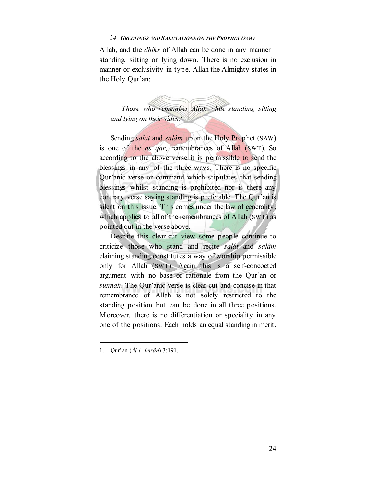Allah, and the *dhikr* of Allah can be done in any manner – standing, sitting or lying down. There is no exclusion in manner or exclusivity in type. Allah the Almighty states in the Holy Qur'an:

*Those who remember Allah while standing, sitting and lying on their sides.<sup>1</sup>*

Sending *salât* and *salâm* upon the Holy Prophet (SAW) is one of the *as qar,* remembrances of Allah (SWT). So according to the above verse it is permissible to send the blessings in any of the three ways. There is no specific Qur'anic verse or command which stipulates that sending blessings whilst standing is prohibited nor is there any contrary verse saying standing is preferable. The Qur'an is silent on this issue. This comes under the law of generality, which applies to all of the remembrances of Allah (SWT) as pointed out in the verse above.

Despite this clear-cut view some people continue to criticize those who stand and recite *salât* and *salâm* claiming standing constitutes a way of worship permissible only for Allah (SWT). Again this is a self-concocted argument with no base or rationale from the Qur'an or *sunnah*. The Qur'anic verse is clear-cut and concise in that remembrance of Allah is not solely restricted to the standing position but can be done in all three positions. Moreover, there is no differentiation or speciality in any one of the positions. Each holds an equal standing in merit.

<sup>1.</sup> Qur'an (*Âl-i-'Imrân*) 3:191.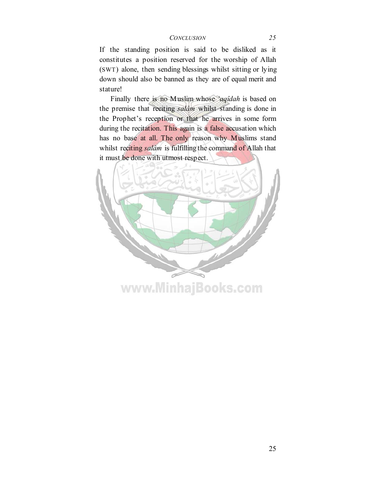If the standing position is said to be disliked as it constitutes a position reserved for the worship of Allah (SWT) alone, then sending blessings whilst sitting or lying down should also be banned as they are of equal merit and stature!

Finally there is no Muslim whose *'aqîdah* is based on the premise that reciting *salâm* whilst standing is done in the Prophet's reception or that he arrives in some form during the recitation. This again is a false accusation which has no base at all. The only reason why Muslims stand whilst reciting *salâm* is fulfilling the command of Allah that it must be done with utmost respect.

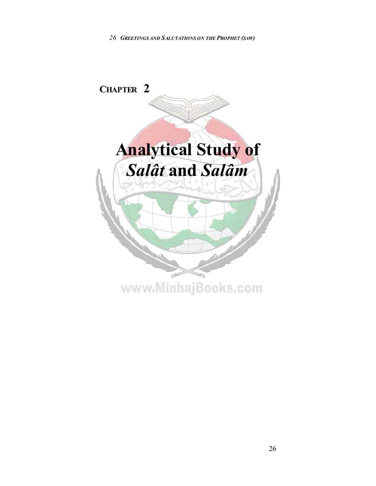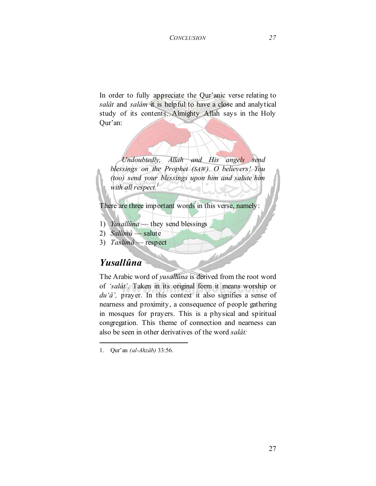In order to fully appreciate the Qur'anic verse relating to *salât* and *salâm* it is helpful to have a close and analytical study of its contents. Almighty Allah says in the Holy Qur'an:

*Undoubtedly, Allah and His angels send blessings on the Prophet (SAW). O believers! You (too) send your blessings upon him and salute him with all respect.<sup>1</sup>*

There are three important words in this verse, namely:

- 1) *Yusallûna* they send blessings
- 2) *Sallimû* salute
- 3) *Taslimâ* respect

# *Yusallûna*

j

The Arabic word of *yusallûna* is derived from the root word of *'salât'*. Taken in its original form it means worship or *du'â',* prayer. In this context it also signifies a sense of nearness and proximity, a consequence of people gathering in mosques for prayers. This is a physical and spiritual congregation. This theme of connection and nearness can also be seen in other derivatives of the word *salât:* 

<sup>1.</sup> Qur'an *(al-Ahzâb)* 33:56.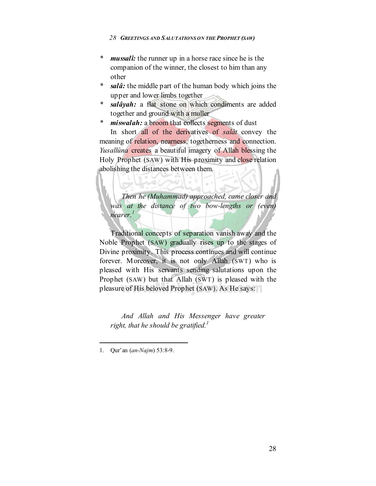- *\* mussalî:* the runner up in a horse race since he is the companion of the winner, the closest to him than any other
- *\* salâ:* the middle part of the human body which joins the upper and lower limbs together
- *\* salâyah:* a flat stone on which condiments are added together and ground with a muller
- *\* miswalah:* a broom that collects segments of dust

In short all of the derivatives of *salât* convey the meaning of relation, nearness, togetherness and connection. *Yusallûna* creates a beautiful imagery of Allah blessing the Holy Prophet (SAW) with His proximity and close relation abolishing the distances between them.

*Then he (Muhammad) approached, came closer and was at the distance of two bow-lengths or (even) nearer.<sup>1</sup>*

Traditional concepts of separation vanish away and the Noble Prophet (SAW) gradually rises up to the stages of Divine proximity. This process continues and will continue forever. Moreover, it is not only Allah (SWT) who is pleased with His servants sending salutations upon the Prophet (SAW) but that Allah (SWT) is pleased with the pleasure of His beloved Prophet (SAW). As He says:

*And Allah and His Messenger have greater right, that he should be gratified.<sup>1</sup>*

<sup>1.</sup> Qur'an (*an-Najm*) 53:8-9.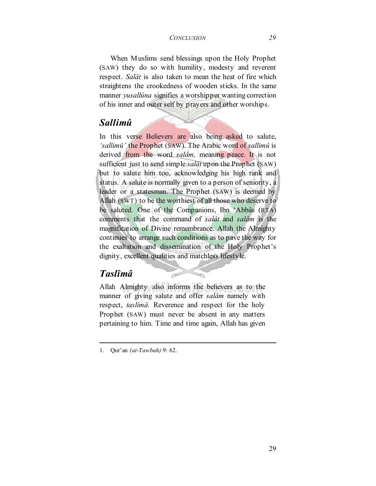When Muslims send blessings upon the Holy Prophet (SAW) they do so with humility, modesty and reverent respect. *Salât* is also taken to mean the heat of fire which straightens the crookedness of wooden sticks. In the same manner *yusallûna* signifies a worshipper wanting correction of his inner and outer self by prayers and other worships.

# *Sallimû*

In this verse Believers are also being asked to salute, *'sallimû'* the Prophet (SAW). The Arabic word of *sallimû* is derived from the word *salâm,* meaning peace. It is not sufficient just to send simple *salât* upon the Prophet (SAW) but to salute him too, acknowledging his high rank and status. A salute is normally given to a person of seniority, a leader or a statesman. The Prophet (SAW) is deemed by Allah (SWT) to be the worthiest of all those who deserve to be saluted. One of the Companions, Ibn 'Abbâs (RTA) comments that the command of *salât* and *salâm* is the magnification of Divine remembrance. Allah the Almighty continues to arrange such conditions as to pave the way for the exaltation and dissemination of the Holy Prophet's dignity, excellent qualities and matchless lifestyle.

# *Taslîmâ*

j

Allah Almighty also informs the believers as to the manner of giving salute and offer *salâm* namely with respect, *taslîmâ.* Reverence and respect for the holy Prophet (SAW) must never be absent in any matters pertaining to him. Time and time again, Allah has given

<sup>1.</sup> Qur'an *(at-Tawbah)* 9: 62.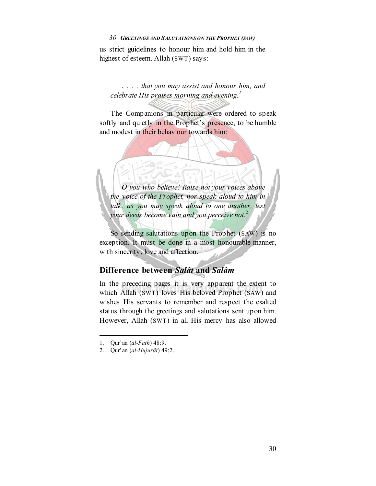us strict guidelines to honour him and hold him in the highest of esteem. Allah (SWT) says:

. . . . *that you may assist and honour him, and celebrate His praises morning and evening.<sup>1</sup>*

The Companions in particular were ordered to speak softly and quietly in the Prophet's presence, to be humble and modest in their behaviour towards him:

*O you who believe! Raise not your voices above the voice of the Prophet, nor speak aloud to him in talk, as you may speak aloud to one another, lest your deeds become vain and you perceive not.*<sup>2</sup>

So sending salutations upon the Prophet (SAW) is no exception. It must be done in a most honourable manner, with sincerity, love and affection.

### **Difference between** *Salât* **and** *Salâm*

In the preceding pages it is very apparent the extent to which Allah (SWT) loves His beloved Prophet (SAW) and wishes His servants to remember and respect the exalted status through the greetings and salutations sent upon him. However, Allah (SWT) in all His mercy has also allowed

<sup>1.</sup> Qur'an (*al-Fath*) 48:9.

<sup>2.</sup> Qur'an (*al-Hujurât*) 49:2.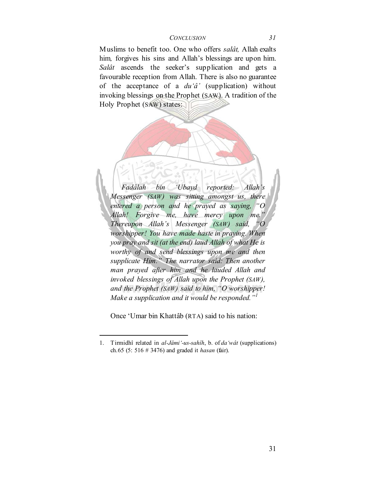Muslims to benefit too. One who offers *salât,* Allah exalts him, forgives his sins and Allah's blessings are upon him. *Salât* ascends the seeker's supplication and gets a favourable reception from Allah. There is also no guarantee of the acceptance of a *du'â'* (supplication) without invoking blessings on the Prophet (SAW). A tradition of the Holy Prophet (SAW) states:

*Fadâlah bin 'Ubayd reported: Allah's Messenger (SAW) was sitting amongst us, there entered a person and he prayed as saying*, *Allah! Forgive me, have mercy upon me." Thereupon Allah's Messenger (SAW) said, "O worshipper! You have made haste in praying. When you pray and sit (at the end) laud Allah of what He is worthy of and send blessings upon me and then supplicate Him." The narrator said: Then another man prayed after him and he lauded Allah and invoked blessings of Allah upon the Prophet (SAW), and the Prophet (SAW) said to him, "O worshipper! Make a supplication and it would be responded."<sup>1</sup>*

Once 'Umar bin Khattâb (RTA) said to his nation:

<sup>1.</sup> Tirmidhî related in *al-Jâmi'-us-sahîh*, b. of *da'wât* (supplications) ch.65 (5: 516 # 3476) and graded it *hasan* (fair).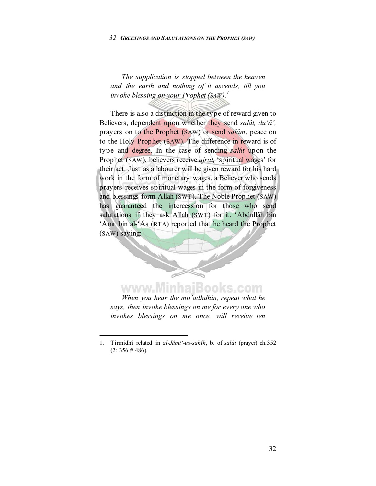*The supplication is stopped between the heaven and the earth and nothing of it ascends, till you invoke blessing on your Prophet (SAW).<sup>1</sup>*

There is also a distinction in the type of reward given to Believers, dependent upon whether they send *salât, du'â',*  prayers on to the Prophet (SAW) or send *salâm*, peace on to the Holy Prophet (SAW). The difference in reward is of type and degree. In the case of sending *salât* upon the Prophet (SAW), believers receive *ujrat,* 'spiritual wages' for their act. Just as a labourer will be given reward for his hard work in the form of monetary wages, a Believer who sends prayers receives spiritual wages in the form of forgiveness and blessings form Allah (SWT). The Noble Prophet (SAW) has guaranteed the intercession for those who send salutations if they ask Allah (SWT) for it. 'Abdullâh bin 'Amr bin al-'Âs (RTA) reported that he heard the Prophet (SAW) saying:

*When you hear the mu'adhdhin, repeat what he says, then invoke blessings on me for every one who invokes blessings on me once, will receive ten* 

<sup>1.</sup> Tirmidhî related in *al-Jâmi'-us-sahîh*, b. of *salât* (prayer) ch.352  $(2: 356 \# 486).$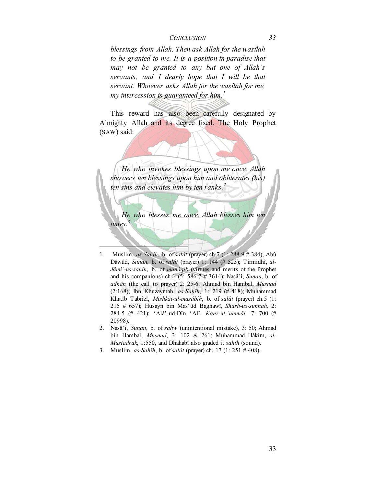*blessings from Allah. Then ask Allah for the wasîlah to be granted to me. It is a position in paradise that may not be granted to any but one of Allah's servants, and I dearly hope that I will be that servant. Whoever asks Allah for the wasîlah for me, my intercession is guaranteed for him.<sup>1</sup>*

This reward has also been carefully designated by Almighty Allah and its degree fixed. The Holy Prophet (SAW) said:

*He who invokes blessings upon me once, Allah showers ten blessings upon him and obliterates (his) ten sins and elevates him by ten ranks.<sup>2</sup>*

*He who blesses me once, Allah blesses him ten times.<sup>3</sup>*

- 1. Muslim, *as-Sahîh,* b. of *salât* (prayer) ch.7 (1: 288-9 # 384); Abû Dâwûd, *Sunan,* b. of *salât* (prayer) 1: 144 (# 523); Tirmidhî, *al-Jâmi'-us-sahîh*, b. of *manâqib* (virtues and merits of the Prophet and his companions) ch.1 (5: 586-7 # 3614); Nasâ'î, *Sunan*, b. of *adhân* (the call to prayer) 2: 25-6; Ahmad bin Hambal, *Musnad* (2:168); Ibn Khuzaymah, *as-Sahîh*, 1: 219 (# 418); Muhammad Khatîb Tabrîzî, *Mishkât-ul-masâbîh*, b. of *salât* (prayer) ch.5 (1: 215 # 657); Husayn bin Mas'ûd Baghawî, *Sharh-us-sunnah,* 2: 284-5 (# 421); 'Alâ'-ud-Dîn 'Alî, *Kanz-ul-'ummâl,* 7: 700 (# 20998).
- 2. Nasâ'î, *Sunan*, b. of *sahw* (unintentional mistake), 3: 50; Ahmad bin Hambal, *Musnad*, 3: 102 & 261; Muhammad Hâkim, *al-Mustadrak*, 1:550, and Dhahabî also graded it *sahîh* (sound).
- 3. Muslim, *as-Sahîh*, b. of *salât* (prayer) ch. 17 (1: 251 # 408).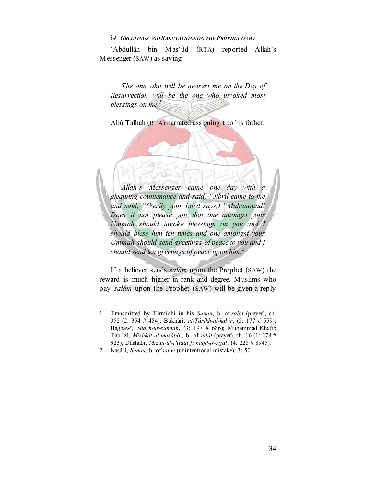'Abdullâh bin Mas'ûd (RTA) reported Allah's Messenger (SAW) as saying:

*The one who will be nearest me on the Day of Resurrection will be the one who invoked most blessings on me.<sup>1</sup>*

Abû Talhah (RTA) narrated assigning it to his father:

*Allah's Messenger came one day with a gleaming countenance and said, "Jibrîl came to me and said, "(Verily your Lord says,) "Muhammad! Does it not please you that one amongst your Ummah should invoke blessings on you and I should bless him ten times and one amongst your Ummah should send greetings of peace to you and I should send ten greetings of peace upon him.<sup>2</sup>*

If a believer sends *salâm* upon the Prophet (SAW) the reward is much higher in rank and degree. Muslims who pay *salâm* upon the Prophet (SAW) will be given a reply

<sup>1.</sup> Transmitted by Tirmidhî in his *Sunan*, b. of *salât* (prayer), ch. 352 (2: 354 # 484); Bukhârî, *at-Târîkh-ul-kabîr*, (5: 177 # 559); Baghawî, *Sharh-us-sunnah*, (3: 197 # 686); Muhammad Khatîb Tabrîzî, *Mishkât-ul-masâbîh*, b. of *salât* (prayer), ch. 16 (1: 278 # 923); Dhahabî, *Mîzân-ul-i'tidâl fî naqd-ir-rijâl*, (4: 228 # 8945).

<sup>2.</sup> Nasâ'î, *Sunan*, b. of *sahw* (unintentional mistake), 3: 50.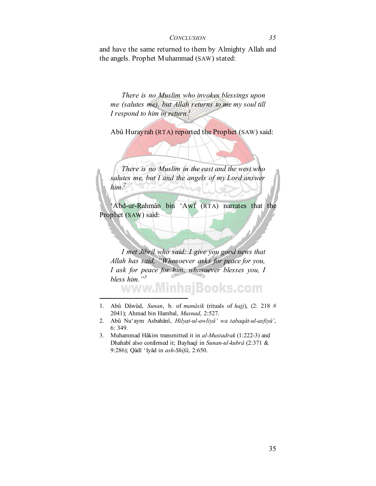and have the same returned to them by Almighty Allah and the angels. Prophet Muhammad (SAW) stated:

*There is no Muslim who invokes blessings upon me (salutes me), but Allah returns to me my soul till I respond to him in return.* 

Abû Hurayrah (RTA) reported the Prophet (SAW) said:

*There is no Muslim in the east and the west who salutes me, but I and the angels of my Lord answer him.<sup>2</sup>*

'Abd-ur-Rahmân bin 'Awf (RTA) narrates that the Prophet (SAW) said:

*I met Jibril who said: I give you good news that Allah has said, "Whosoever asks for peace for you, I ask for peace for him, whosoever blesses you, I bless him."<sup>3</sup>*

j 1. Abû Dâwûd, *Sunan*, b. of *manâsik* (rituals of *hajj*), (2: 218 # 2041); Ahmad bin Hambal, *Musnad*, 2:527.

<sup>2.</sup> Abû Nu'aym Asbahânî, *Hilyat-ul-awliyâ' wa tabaqât-ul-asfiyâ'*, 6: 349.

<sup>3.</sup> Muhammad Hâkim transmitted it in *al-Mustadrak* (1:222-3) and Dhahabî also confirmed it; Bayhaqî in *Sunan-ul-kubrâ* (2:371 & 9:286); Qâdî 'Iyâd in *ash-Shifâ*, 2:650.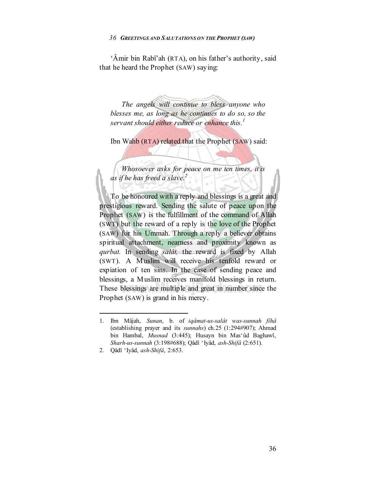'Âmir bin Rabî'ah (RTA), on his father's authority, said that he heard the Prophet (SAW) saying:

*The angels will continue to bless anyone who blesses me, as long as he continues to do so, so the servant should either reduce or enhance this.<sup>1</sup>*

Ibn Wahb (RTA) related that the Prophet (SAW) said:

*Whosoever asks for peace on me ten times, it is as if he has freed a slave.<sup>2</sup>*

To be honoured with a reply and blessings is a great and prestigious reward. Sending the salute of peace upon the Prophet (SAW) is the fulfillment of the command of Allah (SWT) but the reward of a reply is the love of the Prophet (SAW) for his Ummah. Through a reply a believer obtains spiritual attachment, nearness and proximity known as *qurbat.* In sending *salât,* the reward is fixed by Allah (SWT). A Muslim will receive his tenfold reward or expiation of ten sins. In the case of sending peace and blessings, a Muslim receives manifold blessings in return. These blessings are multiple and great in number since the Prophet (SAW) is grand in his mercy.

<sup>1.</sup> Ibn Mâjah, *Sunan*, b. of *iqâmat-us-salât was-sunnah fîhâ* (establishing prayer and its *sunnahs*) ch.25 (1:294#907); Ahmad bin Hambal, *Musnad* (3:445); Husayn bin Mas'ûd Baghawî, *Sharh-us-sunnah* (3:198#688); Qâdî 'Iyâd, *ash-Shifâ* (2:651).

<sup>2.</sup> Qâdî 'Iyâd, *ash-Shifâ*, 2:653.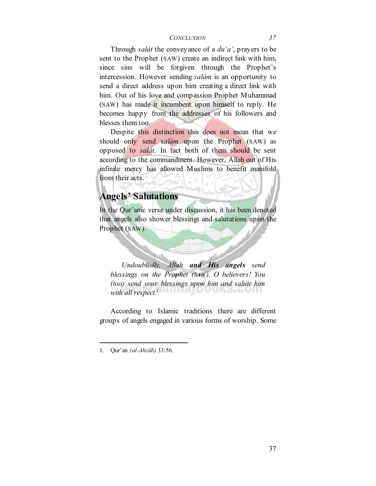Through *salât* the conveyance of a *du'a'*, prayers to be sent to the Prophet (SAW) create an indirect link with him, since sins will be forgiven through the Prophet's intercession. However sending *salâm* is an opportunity to send a direct address upon him creating a direct link with him. Out of his love and compassion Prophet Muhammad (SAW) has made it incumbent upon himself to reply. He becomes happy from the addresses of his followers and blesses them too.

Despite this distinction this does not mean that we should only send s*alâm* upon the Prophet (SAW) as opposed to *salât*. In fact both of them should be sent according to the commandment. However, Allah out of His infinite mercy has allowed Muslims to benefit manifold from their acts

# **Angels' Salutations**

In the Qur'anic verse under discussion, it has been denoted that angels also shower blessings and salutations upon the Prophet (SAW):

*Undoubtedly, Allah and His angels send blessings on the Prophet (SAW). O believers! You (too) send your blessings upon him and salute him with all respect.<sup>1</sup>*

According to Islamic traditions there are different groups of angels engaged in various forms of worship. Some

<sup>1.</sup> Qur'an *(al-Ahzâb)* 33:56.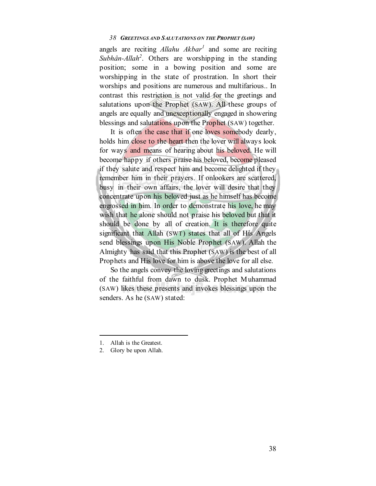angels are reciting *Allahu Akbar<sup>1</sup>* and some are reciting *Subhân-Allah<sup>2</sup>* . Others are worshipping in the standing position; some in a bowing position and some are worshipping in the state of prostration. In short their worships and positions are numerous and multifarious.. In contrast this restriction is not valid for the greetings and salutations upon the Prophet (SAW). All these groups of angels are equally and unexceptionally engaged in showering blessings and salutations upon the Prophet (SAW) together.

It is often the case that if one loves somebody dearly, holds him close to the heart then the lover will always look for ways and means of hearing about his beloved. He will become happy if others praise his beloved, become pleased if they salute and respect him and become delighted if they remember him in their prayers. If onlookers are scattered, busy in their own affairs, the lover will desire that they concentrate upon his beloved just as he himself has become engrossed in him. In order to demonstrate his love, he may wish that he alone should not praise his beloved but that it should be done by all of creation. It is therefore quite significant that Allah (SWT) states that all of His Angels send blessings upon His Noble Prophet (SAW). Allah the Almighty has said that this Prophet (SAW) is the best of all Prophets and His love for him is above the love for all else.

So the angels convey the loving greetings and salutations of the faithful from dawn to dusk. Prophet Muhammad (SAW) likes these presents and invokes blessings upon the senders. As he (SAW) stated:

<sup>1.</sup> Allah is the Greatest.

<sup>2.</sup> Glory be upon Allah.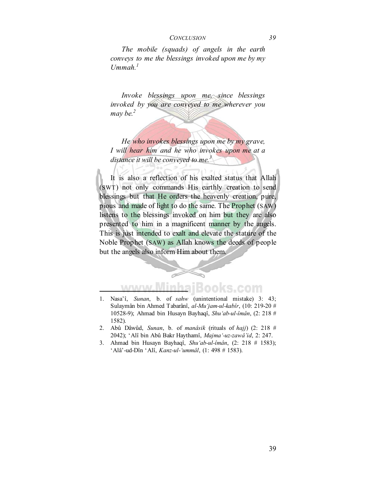*The mobile (squads) of angels in the earth conveys to me the blessings invoked upon me by my Ummah.<sup>1</sup>*

*Invoke blessings upon me, since blessings invoked by you are conveyed to me wherever you may be.<sup>2</sup>*

*He who invokes blessings upon me by my grave, I will hear him and he who invokes upon me at a distance it will be conveyed to me.<sup>3</sup>*

It is also a reflection of his exalted status that Allah (SWT) not only commands His earthly creation to send blessings but that He orders the heavenly creation, pure, pious and made of light to do the same. The Prophet (SAW) listens to the blessings invoked on him but they are also presented to him in a magnificent manner by the angels. This is just intended to exalt and elevate the stature of the Noble Prophet (SAW) as Allah knows the deeds of people but the angels also inform Him about them.

#### **WWWW.** .com

- 1. Nasa'î, *Sunan*, b. of *sahw* (unintentional mistake) 3: 43; Sulaymân bin Ahmed Tabarânî, *al-Mu'jam-ul-kabîr*, (10: 219-20 # 10528-9); Ahmad bin Husayn Bayhaqî, *Shu'ab-ul-îmân*, (2: 218 # 1582).
- 2. Abû Dâwûd, *Sunan*, b. of *manâsik* (rituals of *hajj*) (2: 218 # 2042); 'Alî bin Abû Bakr Haythamî, *Majma'-uz-zawâ'id*, 2: 247.
- 3. Ahmad bin Husayn Bayhaqî, *Shu'ab-ul-îmân*, (2: 218 # 1583); 'Alâ'-ud-Dîn 'Alî, *Kanz-ul-'ummâl*, (1: 498 # 1583).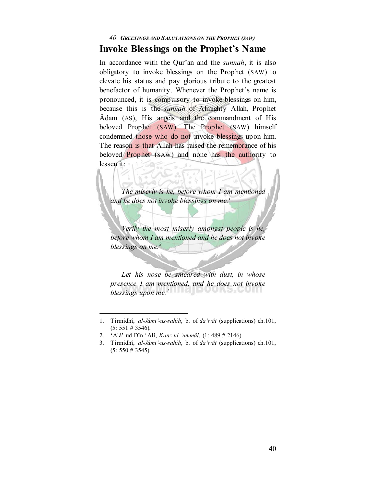# **Invoke Blessings on the Prophet's Name**

In accordance with the Qur'an and the *sunnah*, it is also obligatory to invoke blessings on the Prophet (SAW) to elevate his status and pay glorious tribute to the greatest benefactor of humanity. Whenever the Prophet's name is pronounced, it is compulsory to invoke blessings on him, because this is the *sunnah* of Almighty Allah, Prophet Âdam (AS), His angels and the commandment of His beloved Prophet (SAW). The Prophet (SAW) himself condemned those who do not invoke blessings upon him. The reason is that Allah has raised the remembrance of his beloved Prophet (SAW) and none has the authority to lessen it:

*The miserly is he, before whom I am mentioned and he does not invoke blessings on me.<sup>1</sup>* 

*Verily the most miserly amongst people is he, before whom I am mentioned and he does not invoke blessings on me.<sup>2</sup>*

*Let his nose be smeared with dust, in whose presence I am mentioned, and he does not invoke blessings upon me.<sup>3</sup>*

<sup>1.</sup> Tirmidhî, *al-Jâmi'-us-sahîh*, b. of *da'wât* (supplications) ch.101,  $(5: 551 \# 3546).$ 

<sup>2.</sup> 'Alâ'-ud-Dîn 'Alî, *Kanz-ul-'ummâl*, (1: 489 # 2146).

<sup>3.</sup> Tirmidhî, *al-Jâmi'-us-sahîh*, b. of *da'wât* (supplications) ch.101,  $(5: 550 \# 3545)$ .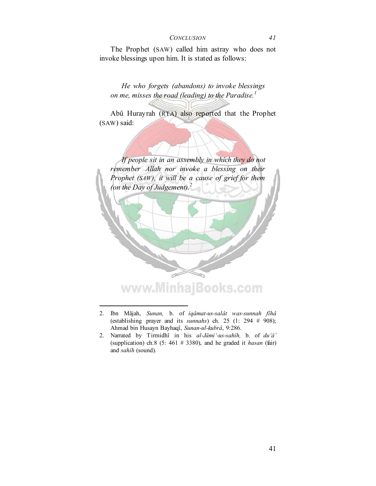*CONCLUSION 41*

The Prophet (SAW) called him astray who does not invoke blessings upon him. It is stated as follows:

*He who forgets (abandons) to invoke blessings on me, misses the road (leading) to the Paradise.<sup>1</sup>*

Abû Hurayrah (RTA) also reported that the Prophet (SAW) said:

*If people sit in an assembly in which they do not remember Allah nor invoke a blessing on their Prophet (SAW), it will be a cause of grief for them (on the Day of Judgement).<sup>2</sup>*

www.MinhajBooks.com

<sup>2.</sup> Ibn Mâjah, *Sunan,* b. of *iqâmat-us-salât was-sunnah fîhâ*  (establishing prayer and its *sunnahs*) ch. 25 (1: 294 # 908); Ahmad bin Husayn Bayhaqî, *Sunan-ul-kubrâ*, 9:286.

<sup>2.</sup> Narrated by Tirmidhî in his *al-Jâmi'-us-sahîh,* b. of *du'â'* (supplication) ch.8 (5:  $461 \# 3380$ ), and he graded it *hasan* (fair) and *sahîh* (sound).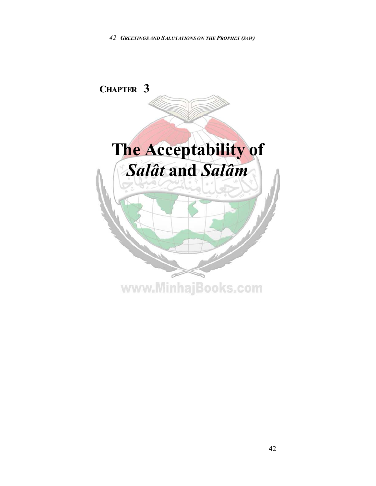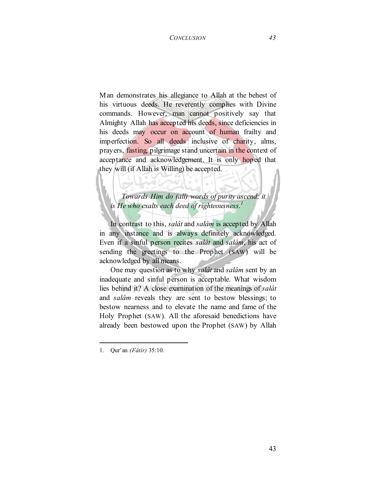Man demonstrates his allegiance to Allah at the behest of his virtuous deeds. He reverently complies with Divine commands. However, man cannot positively say that Almighty Allah has accepted his deeds, since deficiencies in his deeds may occur on account of human frailty and imperfection. So all deeds inclusive of charity, alms, prayers, fasting, pilgrimage stand uncertain in the context of acceptance and acknowledgement. It is only hoped that they will (if Allah is Willing) be accepted.

*Towards Him do (all) words of purity ascend; it is He who exalts each deed of righteousness.<sup>1</sup>*

In contrast to this, *salât* and *salâm* is accepted by Allah in any instance and is always definitely acknowledged. Even if a sinful person recites *salât* and *salâm*, his act of sending the greetings to the Prophet (SAW) will be acknowledged by all means.

One may question as to why *salât* and *salâm* sent by an inadequate and sinful person is acceptable. What wisdom lies behind it? A close examination of the meanings of *salât*  and *salâm* reveals they are sent to bestow blessings; to bestow nearness and to elevate the name and fame of the Holy Prophet (SAW). All the aforesaid benedictions have already been bestowed upon the Prophet (SAW) by Allah

<sup>1.</sup> Qur'an *(Fâtir)* 35:10.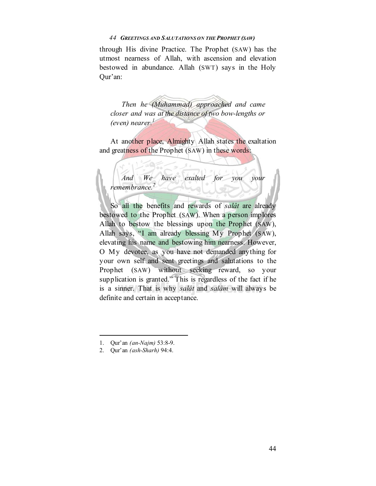through His divine Practice. The Prophet (SAW) has the utmost nearness of Allah, with ascension and elevation bestowed in abundance. Allah (SWT) says in the Holy Qur'an:

*Then he (Muhammad) approached and came closer and was at the distance of two bow-lengths or (even) nearer.<sup>1</sup>*

At another place, Almighty Allah states the exaltation and greatness of the Prophet (SAW) in these words:

*And We have exalted for you your remembrance.<sup>2</sup>*

So all the benefits and rewards of *salât* are already bestowed to the Prophet (SAW). When a person implores Allah to bestow the blessings upon the Prophet (SAW), Allah says, "I am already blessing My Prophet (SAW), elevating his name and bestowing him nearness. However, O My devotee, as you have not demanded anything for your own self and sent greetings and salutations to the Prophet (SAW) without seeking reward, so your supplication is granted." This is regardless of the fact if he is a sinner. That is why *salât* and *salâm* will always be definite and certain in acceptance.

<sup>1.</sup> Qur'an *(an-Najm)* 53:8-9.

<sup>2.</sup> Qur'an *(ash-Sharh)* 94:4.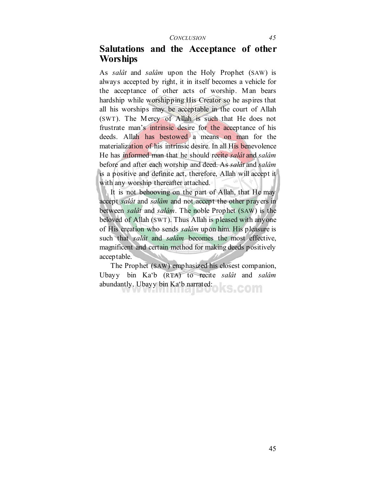## **Salutations and the Acceptance of other Worships**

As *salât* and *salâm* upon the Holy Prophet (SAW) is always accepted by right, it in itself becomes a vehicle for the acceptance of other acts of worship. Man bears hardship while worshipping His Creator so he aspires that all his worships may be acceptable in the court of Allah (SWT). The Mercy of Allah is such that He does not frustrate man's intrinsic desire for the acceptance of his deeds. Allah has bestowed a means on man for the materialization of his intrinsic desire. In all His benevolence He has informed man that he should recite *salât* and *salâm* before and after each worship and deed. As *salât* and *salâm*  is a positive and definite act, therefore, Allah will accept it with any worship thereafter attached.

It is not behooving on the part of Allah, that He may accept *salât* and *salâm* and not accept the other prayers in between *salât* and *salâm*. The noble Prophet (SAW) is the beloved of Allah (SWT). Thus Allah is pleased with anyone of His creation who sends *salâm* upon him. His pleasure is such that *salât* and *salâm* becomes the most effective, magnificent and certain method for making deeds positively acceptable.

The Prophet (SAW) emphasized his closest companion, Ubayy bin Ka'b (RTA) to recite *salât* and *salâm* abundantly. Ubayy bin Ka'b narrated:  $(s.com)$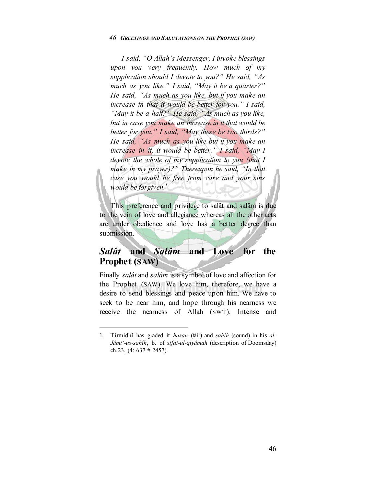*I said, "O Allah's Messenger, I invoke blessings upon you very frequently. How much of my supplication should I devote to you?" He said, "As much as you like." I said, "May it be a quarter?" He said, "As much as you like, but if you make an increase in that it would be better for you." I said, "May it be a half?" He said, "As much as you like, but in case you make an increase in it that would be better for you." I said, "May these be two thirds?" He said, "As much as you like but if you make an increase in it, it would be better." I said, "May I devote the whole of my supplication to you (that I make in my prayer)?" Thereupon he said, "In that case you would be free from care and your sins would be forgiven.<sup>1</sup>*

This preference and privilege to salât and salâm is due to the vein of love and allegiance whereas all the other acts are under obedience and love has a better degree than submission.

## *Salât* **and** *Salâm* **and Love for the Prophet (SAW)**

Finally *salât* and *salâm* is a symbol of love and affection for the Prophet (SAW). We love him, therefore, we have a desire to send blessings and peace upon him. We have to seek to be near him, and hope through his nearness we receive the nearness of Allah (SWT). Intense and

<sup>1.</sup> Tirmidhî has graded it *hasan* (fair) and *sahîh* (sound) in his *al-Jâmi'-us-sahîh*, b. of *sifat-ul-qiyâmah* (description of Doomsday) ch.23, (4: 637 # 2457).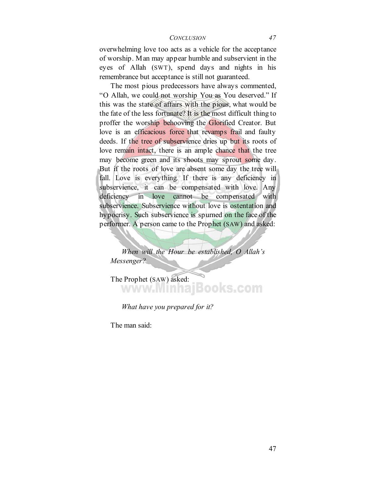overwhelming love too acts as a vehicle for the acceptance of worship. Man may appear humble and subservient in the eyes of Allah (SWT), spend days and nights in his remembrance but acceptance is still not guaranteed.

The most pious predecessors have always commented, "O Allah, we could not worship You as You deserved." If this was the state of affairs with the pious, what would be the fate of the less fortunate? It is the most difficult thing to proffer the worship behooving the Glorified Creator. But love is an efficacious force that revamps frail and faulty deeds. If the tree of subservience dries up but its roots of love remain intact, there is an ample chance that the tree may become green and its shoots may sprout some day. But if the roots of love are absent some day the tree will fall. Love is everything. If there is any deficiency in subservience, it can be compensated with love. Any deficiency in love cannot be compensated with subservience. Subservience without love is ostentation and hypocrisy. Such subservience is spurned on the face of the performer. A person came to the Prophet (SAW) and asked:

*When will the Hour be established, O Allah's Messenger?* 

The Prophet (SAW) asked:<br>WWW.

*What have you prepared for it?* 

The man said: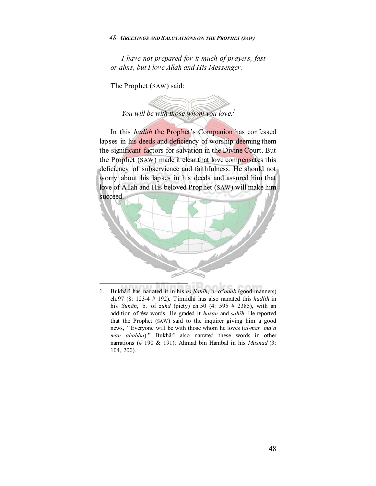*I have not prepared for it much of prayers, fast or alms, but I love Allah and His Messenger.* 

The Prophet (SAW) said:

*You will be with those whom you love.<sup>1</sup>*

In this *hadîth* the Prophet's Companion has confessed lapses in his deeds and deficiency of worship deeming them the significant factors for salvation in the Divine Court. But the Prophet (SAW) made it clear that love compensates this deficiency of subservience and faithfulness. He should not worry about his lapses in his deeds and assured him that love of Allah and His beloved Prophet (SAW) will make him succeed.



1. Bukhârî has narrated it in his *as-Sahîh*, b. of *adab* (good manners) ch.97 (8: 123-4 # 192). Tirmidhî has also narrated this *hadîth* in his *Sunân*, b. of *zuhd* (piety) ch.50 (4: 595 # 2385), with an addition of few words. He graded it *hasan* and *sahîh*. He reported that the Prophet (SAW) said to the inquirer giving him a good news, " Everyone will be with those whom he loves (*al-mar' ma'a man ahabba*)." Bukhârî also narrated these words in other narrations (# 190 & 191); Ahmad bin Hambal in his *Musnad* (3: 104, 200).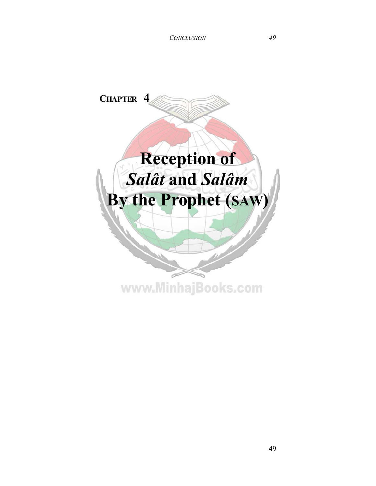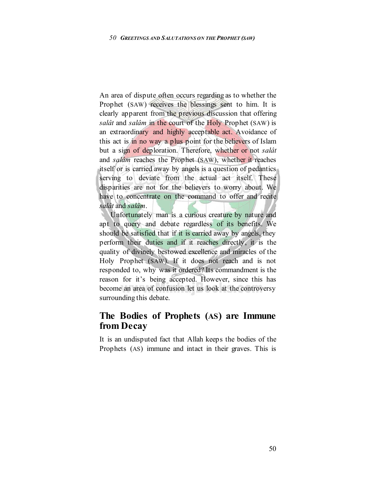An area of dispute often occurs regarding as to whether the Prophet (SAW) receives the blessings sent to him. It is clearly apparent from the previous discussion that offering *salât* and *salâm* in the court of the Holy Prophet (SAW) is an extraordinary and highly acceptable act. Avoidance of this act is in no way a plus point for the believers of Islam but a sign of deploration. Therefore, whether or not *salât* and *salâm* reaches the Prophet (SAW), whether it reaches itself or is carried away by angels is a question of pedantics serving to deviate from the actual act itself. These disparities are not for the believers to worry about. We have to concentrate on the command to offer and recite *salât* and *salâm*.

Unfortunately man is a curious creature by nature and apt to query and debate regardless of its benefits. We should be satisfied that if it is carried away by angels, they perform their duties and if it reaches directly, it is the quality of divinely bestowed excellence and miracles of the Holy Prophet (SAW). If it does not reach and is not responded to, why was it ordered? Its commandment is the reason for it's being accepted. However, since this has become an area of confusion let us look at the controversy surrounding this debate.

## **The Bodies of Prophets (AS) are Immune from Decay**

It is an undisputed fact that Allah keeps the bodies of the Prophets (AS) immune and intact in their graves. This is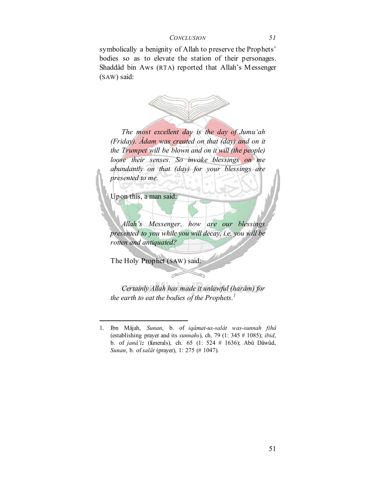*CONCLUSION 51*

symbolically a benignity of Allah to preserve the Prophets' bodies so as to elevate the station of their personages. Shaddâd bin Aws (RTA) reported that Allah's Messenger (SAW) said:



*The most excellent day is the day of Jumu'ah (Friday). Âdam was created on that (day) and on it the Trumpet will be blown and on it will (the people) loose their senses. So invoke blessings on me abundantly on that (day) for your blessings are presented to me.* 

Upon this, a man said:

*Allah's Messenger, how are our blessings presented to you while you will decay, i.e. you will be rotten and antiquated?* 

The Holy Prophet (SAW) said:

j

*Certainly Allah has made it unlawful (harâm) for the earth to eat the bodies of the Prophets.<sup>1</sup>*

<sup>1.</sup> Ibn Mâjah, *Sunan*, b. of *iqâmat-us-salât was-sunnah fihâ* (establishing prayer and its *sunnahs*), ch. 79 (1: 345 # 1085); *ibid*, b. of *janâ'iz* (funerals), ch. 65 (1: 524 # 1636); Abû Dâwûd, *Sunan*, b. of *salât* (prayer), 1: 275 (# 1047).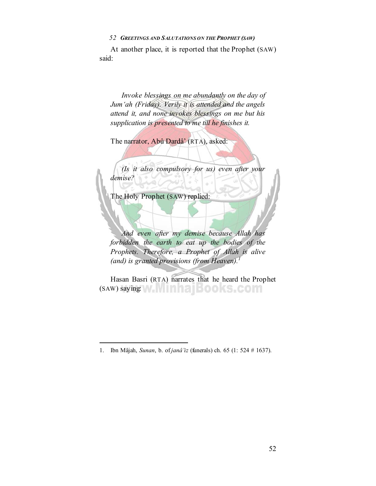At another place, it is reported that the Prophet (SAW) said:

*Invoke blessings on me abundantly on the day of Jum'ah (Friday). Verily it is attended and the angels attend it, and none invokes blessings on me but his supplication is presented to me till he finishes it.* 

The narrator, Abû Dardâ' (RTA), asked:

*(Is it also compulsory for us) even after your demise?* 

The Holy Prophet (SAW) replied:

*And even after my demise because Allah has forbidden the earth to eat up the bodies of the Prophets. Therefore, a Prophet of Allah is alive (and) is granted provisions (from Heaven).<sup>1</sup>*

Hasan Basri (RTA) narrates that he heard the Prophet (SAW) saying:

<sup>1.</sup> Ibn Mâjah, *Sunan*, b. of *janâ'iz* (funerals) ch. 65 (1: 524 # 1637).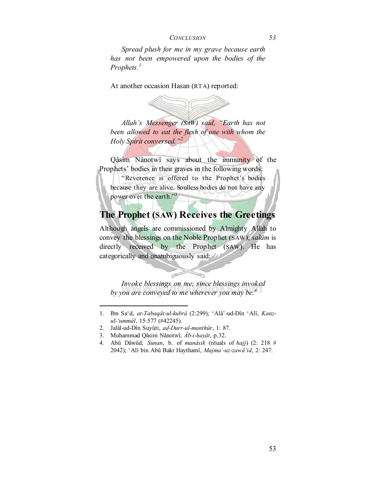*Spread plush for me in my grave because earth has not been empowered upon the bodies of the Prophets.<sup>1</sup>*

At another occasion Hasan (RTA) reported:

*Allah's Messenger (SAW) said, "Earth has not been allowed to eat the flesh of one with whom the Holy Spirit conversed."<sup>2</sup>*

Qâsim Nânotwî says about the immunity of the Prophets' bodies in their graves in the following words:

"Reverence is offered to the Prophet's bodies because they are alive. Soulless bodies do not have any power over the earth."<sup>3</sup>

## **The Prophet (SAW) Receives the Greetings**

Although angels are commissioned by Almighty Allah to convey the blessings on the Noble Prophet (SAW), *salâm* is directly received by the Prophet (SAW). He has categorically and unambiguously said:

*Invoke blessings on me, since blessings invoked by you are conveyed to me wherever you may be.<sup>4</sup>*

<sup>1.</sup> Ibn Sa'd, *at-Tabaqât-ul-kubrâ* (2:299); 'Alâ'-ud-Dîn 'Alî, *Kanzul-'ummâl*, 15:577 (#42245).

<sup>2.</sup> Jalâl-ud-Dîn Suyûti, *ad-Durr-ul-manthûr*, 1: 87.

<sup>3.</sup> Muhammad Qâsim Nânotwî, *Âb-i-hayât*, p.32.

<sup>4.</sup> Abû Dâwûd, *Sunan*, b. of *manâsik* (rituals of *hajj*) (2: 218 # 2042); 'Alî bin Abû Bakr Haythamî, *Majma'-uz-zawâ'id*, 2: 247.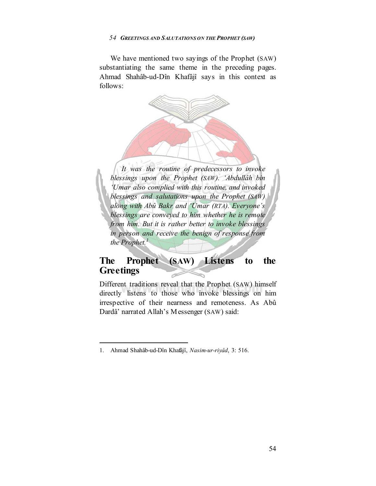We have mentioned two sayings of the Prophet (SAW) substantiating the same theme in the preceding pages. Ahmad Shahâb-ud-Dîn Khafâjî says in this context as follows:

*It was the routine of predecessors to invoke blessings upon the Prophet (SAW). 'Abdullâh bin 'Umar also complied with this routine, and invoked blessings and salutations upon the Prophet (SAW) along with Abû Bakr and 'Umar (RTA). Everyone's blessings are conveyed to him whether he is remote from him. But it is rather better to invoke blessings in person and receive the benign of response from the Prophet.<sup>1</sup>*

# **The Prophet (SAW) Listens to the Greetings**

Different traditions reveal that the Prophet (SAW) himself directly listens to those who invoke blessings on him irrespective of their nearness and remoteness. As Abû Dardâ' narrated Allah's Messenger (SAW) said:

<sup>1.</sup> Ahmad Shahâb-ud-Dîn Khafâjî, *Nasim-ur-riyâd*, 3: 516.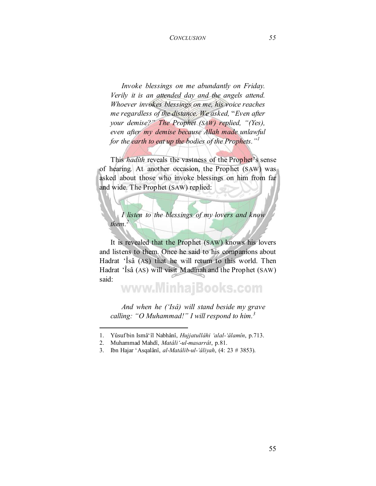*Invoke blessings on me abundantly on Friday. Verily it is an attended day and the angels attend. Whoever invokes blessings on me, his voice reaches me regardless of the distance. We asked,* "*Even after your demise?" The Prophet (SAW) replied, "(Yes), even after my demise because Allah made unlawful for the earth to eat up the bodies of the Prophets."<sup>1</sup>*

This *hadîth* reveals the vastness of the Prophet's sense of hearing. At another occasion, the Prophet (SAW) was asked about those who invoke blessings on him from far and wide. The Prophet (SAW) replied:

*I listen to the blessings of my lovers and know them.<sup>2</sup>*

It is revealed that the Prophet (SAW) knows his lovers and listens to them. Once he said to his companions about Hadrat 'Îsâ (AS) that he will return to this world. Then Hadrat 'Îsâ (AS) will visit Madînah and the Prophet (SAW) said:

www.MinhajBooks.com

*And when he ('Isâ) will stand beside my grave calling: "O Muhammad!" I will respond to him.<sup>3</sup>*

<sup>1.</sup> Yûsuf bin Ismâ'îl Nabhânî, *Hujjatullâhi 'alal-'âlamîn*, p.713.

<sup>2.</sup> Muhammad Mahdî, *Matâli'-ul-masarrât*, p.81.

<sup>3.</sup> Ibn Hajar 'Asqalânî, *al-Matâlib-ul-'âliyah*, (4: 23 # 3853).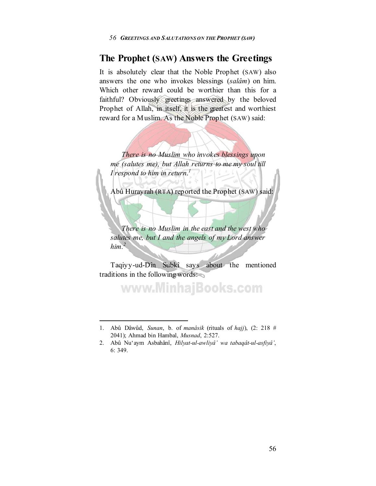## **The Prophet (SAW) Answers the Greetings**

It is absolutely clear that the Noble Prophet (SAW) also answers the one who invokes blessings (*salâm*) on him. Which other reward could be worthier than this for a faithful? Obviously greetings answered by the beloved Prophet of Allah, in itself, it is the greatest and worthiest reward for a Muslim. As the Noble Prophet (SAW) said:

*There is no Muslim who invokes blessings upon me (salutes me), but Allah returns to me my soul till I respond to him in return.<sup>1</sup>*

Abû Hurayrah (RTA) reported the Prophet (SAW) said:

*There is no Muslim in the east and the west who salutes me, but I and the angels of my Lord answer him.<sup>2</sup>*

Taqiyy-ud-Dîn Subkî says about the mentioned traditions in the following words:

www.MinhajBooks.com

<sup>1.</sup> Abû Dâwûd, *Sunan*, b. of *manâsik* (rituals of *hajj*), (2: 218 # 2041); Ahmad bin Hambal, *Musnad*, 2:527.

<sup>2.</sup> Abû Nu'aym Asbahânî, *Hilyat-ul-awliyâ' wa tabaqât-ul-asfiyâ'*, 6: 349.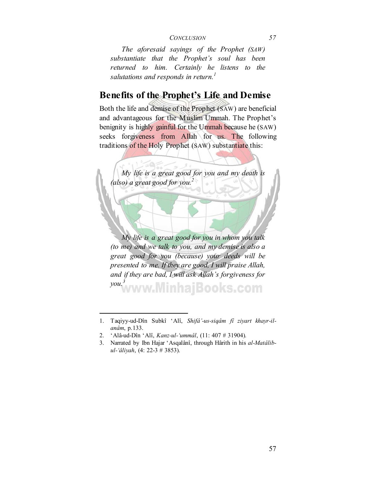#### *CONCLUSION 57*

*The aforesaid sayings of the Prophet (SAW) substantiate that the Prophet's soul has been returned to him. Certainly he listens to the salutations and responds in return.<sup>1</sup>*

## **Benefits of the Prophet's Life and Demise**

Both the life and demise of the Prophet (SAW) are beneficial and advantageous for the Muslim Ummah. The Prophet's benignity is highly gainful for the Ummah because he (SAW) seeks forgiveness from Allah for us. The following traditions of the Holy Prophet (SAW) substantiate this:

*My life is a great good for you and my death is (also) a great good for you.<sup>2</sup>*

*My life is a great good for you in whom you talk (to me) and we talk to you, and my demise is also a great good for you (because) your deeds will be presented to me. If they are good, I will praise Allah, and if they are bad, I will ask Allah's forgiveness for*   $\gamma$ *ou*.<sup>3</sup> w.MinhajBooks.com

<sup>1.</sup> Taqiyy-ud-Dîn Subkî 'Alî, *Shifâ'-us-siqâm fî ziyart khayr-ilanâm*, p.133.

<sup>2.</sup> 'Alâ-ud-Dîn 'Alî, *Kanz-ul-'ummâl*, (11: 407 # 31904).

<sup>3.</sup> Narrated by Ibn Hajar 'Asqalânî, through Hârith in his *al-Matâlibul-'âliyah*, (4: 22-3 # 3853).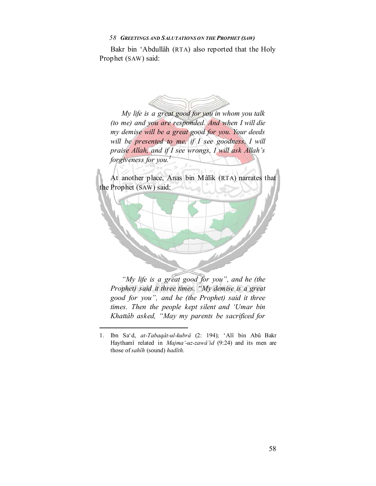Bakr bin 'Abdullâh (RTA) also reported that the Holy Prophet (SAW) said:



*My life is a great good for you in whom you talk (to me) and you are responded. And when I will die my demise will be a great good for you. Your deeds will be presented to me, if I see goodness, I will praise Allah, and if I see wrongs, I will ask Allah's forgiveness for you.<sup>1</sup>*

At another place, Anas bin Mâlik (RTA) narrates that the Prophet (SAW) said:

*"My life is a great good for you", and he (the Prophet) said it three times. "My demise is a great good for you", and he (the Prophet) said it three times. Then the people kept silent and 'Umar bin Khattâb asked, "May my parents be sacrificed for* 

<sup>1.</sup> Ibn Sa'd, *at-Tabaqât-ul-kubrâ* (2: 194); 'Alî bin Abû Bakr Haythamî related in *Majma'-uz-zawâ'id* (9:24) and its men are those of *sahîh* (sound) *hadîth*.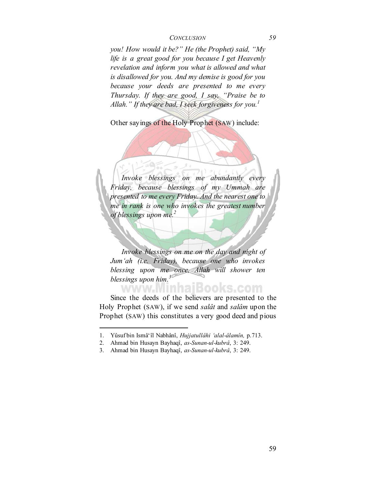#### *CONCLUSION 59*

*you! How would it be?" He (the Prophet) said, "My life is a great good for you because I get Heavenly revelation and inform you what is allowed and what is disallowed for you. And my demise is good for you because your deeds are presented to me every Thursday. If they are good, I say, "Praise be to Allah." If they are bad, I seek forgiveness for you.<sup>1</sup>*

Other sayings of the Holy Prophet (SAW) include:

*Invoke blessings on me abundantly every Friday, because blessings of my Ummah are presented to me every Friday. And the nearest one to me in rank is one who invokes the greatest number of blessings upon me.<sup>2</sup>*

*Invoke blessings on me on the day and night of Jum'ah (i.e. Friday), because one who invokes blessing upon me once, Allah will shower ten blessings upon him.<sup>3</sup>*

Since the deeds of the believers are presented to the Holy Prophet (SAW), if we send *salât* and *salâm* upon the Prophet (SAW) this constitutes a very good deed and pious

<sup>1.</sup> Yûsuf bin Ismâ'îl Nabhânî, *Hujjatullâhi 'alal-âlamîn,* p.713.

<sup>2.</sup> Ahmad bin Husayn Bayhaqî, *as-Sunan-ul-kubrâ*, 3: 249.

<sup>3.</sup> Ahmad bin Husayn Bayhaqî, *as-Sunan-ul-kubrâ*, 3: 249.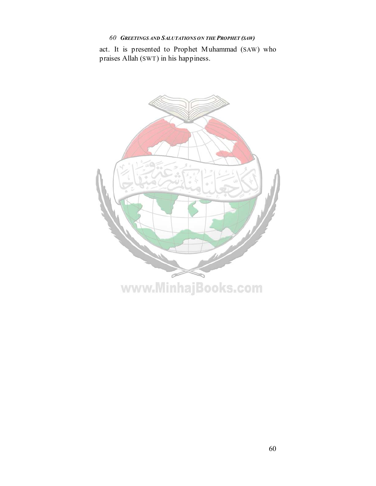act. It is presented to Prophet Muhammad (SAW) who praises Allah (SWT) in his happiness.

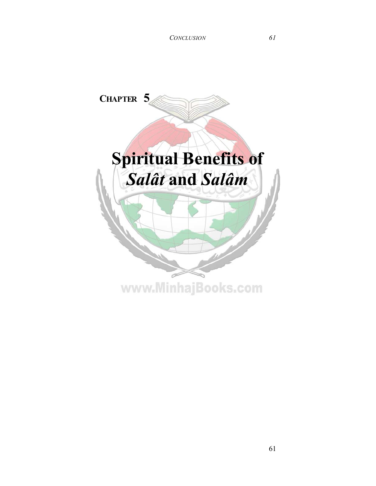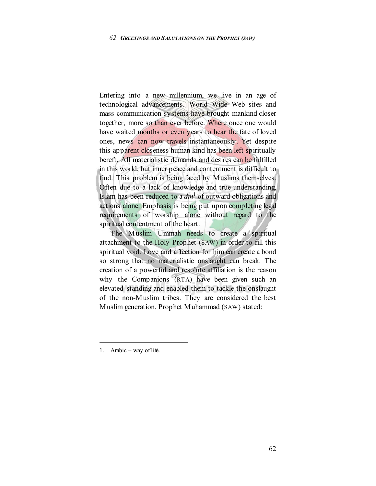Entering into a new millennium, we live in an age of technological advancements. World Wide Web sites and mass communication systems have brought mankind closer together, more so than ever before. Where once one would have waited months or even years to hear the fate of loved ones, news can now travels instantaneously. Yet despite this apparent closeness human kind has been left spiritually bereft. All materialistic demands and desires can be fulfilled in this world, but inner peace and contentment is difficult to find. This problem is being faced by Muslims themselves. Often due to a lack of knowledge and true understanding, Islam has been reduced to a  $d\hat{n}$ <sup>1</sup> of outward obligations and actions alone. Emphasis is being put upon completing legal requirements of worship alone without regard to the spiritual contentment of the heart.

The Muslim Ummah needs to create a spiritual attachment to the Holy Prophet (SAW) in order to fill this spiritual void. Love and affection for him can create a bond so strong that no materialistic onslaught can break. The creation of a powerful and resolute affiliation is the reason why the Companions (RTA) have been given such an elevated standing and enabled them to tackle the onslaught of the non-Muslim tribes. They are considered the best Muslim generation. Prophet Muhammad (SAW) stated:

<sup>1.</sup> Arabic – way of life.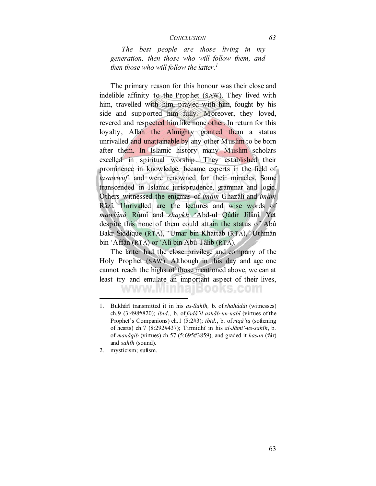#### *CONCLUSION 63*

*The best people are those living in my generation, then those who will follow them, and then those who will follow the latter.<sup>1</sup>*

The primary reason for this honour was their close and indelible affinity to the Prophet (SAW). They lived with him, travelled with him, prayed with him, fought by his side and supported him fully. Moreover, they loved, revered and respected him like none other. In return for this loyalty, Allah the Almighty granted them a status unrivalled and unattainable by any other Muslim to be born after them. In Islamic history many Muslim scholars excelled in spiritual worship. They established their prominence in knowledge, became experts in the field of *tasawwuf<sup>2</sup>* and were renowned for their miracles. Some transcended in Islamic jurisprudence, grammar and logic. Others witnessed the enigmas of *imâm* Ghazâlî and *imâm* Râzî. Unrivalled are the lectures and wise words of *mawlânâ* Rûmî and *shaykh* 'Abd-ul Qâdir Jîlânî. Yet despite this none of them could attain the status of Abû Bakr Siddîque (RTA), 'Umar bin Khattâb (RTA), 'Uthmân bin 'Affân (RTA) or 'Alî bin Abû Tâlib (RTA).

The latter had the close privilege and company of the Holy Prophet (SAW). Although in this day and age one cannot reach the highs of those mentioned above, we can at least try and emulate an important aspect of their lives,

www.MinhajBooks.com

2. mysticism; sufism.

<sup>1.</sup> Bukhârî transmitted it in his *as-Sahîh,* b. of *shahâdât* (witnesses) ch.9 (3:498#820); *ibid*., b. of *fadâ'il ashâb-un-nabî* (virtues of the Prophet's Companions) ch.1 (5:2#3); *ibid*., b. of *riqâ'iq* (softening of hearts) ch.7 (8:292#437); Tirmidhî in his *al-Jâmi'-us-sahîh*, b. of *manâqib* (virtues) ch.57 (5:695#3859), and graded it *hasan* (fair) and *sahîh* (sound).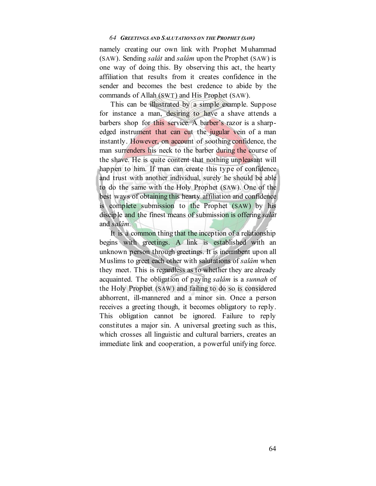namely creating our own link with Prophet Muhammad (SAW). Sending *salât* and *salâm* upon the Prophet (SAW) is one way of doing this. By observing this act, the hearty affiliation that results from it creates confidence in the sender and becomes the best credence to abide by the commands of Allah (SWT) and His Prophet (SAW).

This can be illustrated by a simple example. Suppose for instance a man, desiring to have a shave attends a barbers shop for this service. A barber's razor is a sharpedged instrument that can cut the jugular vein of a man instantly. However, on account of soothing confidence, the man surrenders his neck to the barber during the course of the shave. He is quite content that nothing unpleasant will happen to him. If man can create this type of confidence and trust with another individual, surely he should be able to do the same with the Holy Prophet (SAW). One of the best ways of obtaining this hearty affiliation and confidence is complete submission to the Prophet (SAW) by his disciple and the finest means of submission is offering *salât*  and *salâm.*

It is a common thing that the inception of a relationship begins with greetings. A link is established with an unknown person through greetings. It is incumbent upon all Muslims to greet each other with salutations of *salâm* when they meet. This is regardless as to whether they are already acquainted. The obligation of paying *salâm* is a *sunnah* of the Holy Prophet (SAW) and failing to do so is considered abhorrent, ill-mannered and a minor sin. Once a person receives a greeting though, it becomes obligatory to reply. This obligation cannot be ignored. Failure to reply constitutes a major sin. A universal greeting such as this, which crosses all linguistic and cultural barriers, creates an immediate link and cooperation, a powerful unifying force.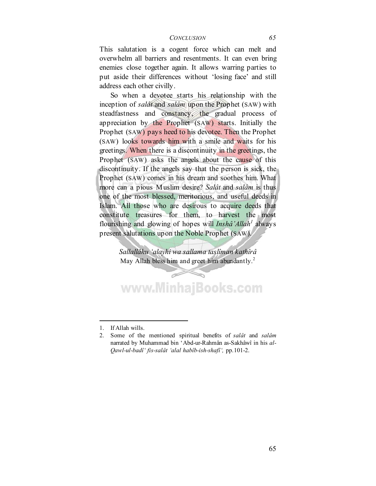This salutation is a cogent force which can melt and overwhelm all barriers and resentments. It can even bring enemies close together again. It allows warring parties to put aside their differences without 'losing face' and still address each other civilly.

So when a devotee starts his relationship with the inception of *salât* and *salâm* upon the Prophet (SAW) with steadfastness and constancy, the gradual process of appreciation by the Prophet (SAW) starts. Initially the Prophet (SAW) pays heed to his devotee. Then the Prophet (SAW) looks towards him with a smile and waits for his greetings. When there is a discontinuity in the greetings, the Prophet (SAW) asks the angels about the cause of this discontinuity. If the angels say that the person is sick, the Prophet (SAW) comes in his dream and soothes him. What more can a pious Muslim desire? *Salât* and *salâm* is thus one of the most blessed, meritorious, and useful deeds in Islam. All those who are desirous to acquire deeds that constitute treasures for them, to harvest the most flourishing and glowing of hopes will *Inshâ'Allah<sup>1</sup>* always present salutations upon the Noble Prophet (SAW).

> *Sallallâhu 'alayhi wa sallama taslîman kathîrâ* May Allah bless him and greet him abundantly.<sup>2</sup>

> > P

# www.MinhajBooks.com

<sup>1.</sup> If Allah wills.

<sup>2.</sup> Some of the mentioned spiritual benefits of *salât* and *salâm* narrated by Muhammad bin 'Abd-ur-Rahmân as-Sakhâwî in his *al-Qawl-ul-badî' fis-salât 'alal habîb-ish-shafî',* pp.101-2.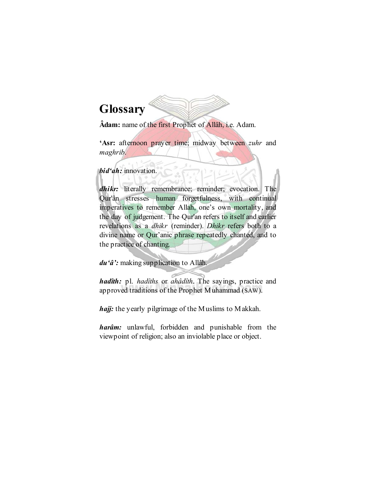# **Glossary**

**Âdam:** name of the first Prophet of Allâh, i.e. Adam.

**'Asr:** afternoon prayer time; midway between *zuhr* and *maghrib*.

*bid'ah:* innovation.

*dhikr:* literally remembrance; reminder; evocation. The Qur'ân stresses human forgetfulness, with continual imperatives to remember Allah, one's own mortality, and the day of judgement. The Qur'an refers to itself and earlier revelations as a *dhikr* (reminder). *Dhikr* refers both to a divine name or Qur'anic phrase repeatedly chanted, and to the practice of chanting.

*du'â':* making supplication to Allâh.

*hadîth:* pl. *hadîths* or *ahâdîth*. The sayings, practice and approved traditions of the Prophet Muhammad (SAW).

*hajj:* the yearly pilgrimage of the Muslims to Makkah.

*harâm:* unlawful, forbidden and punishable from the viewpoint of religion; also an inviolable place or object.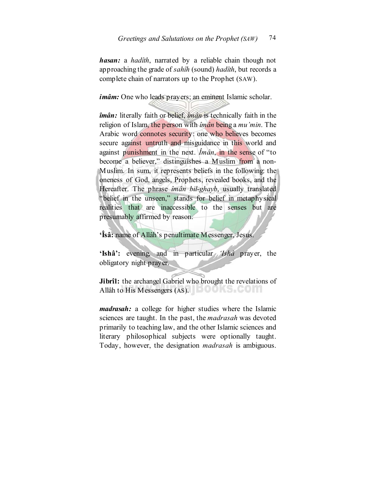*hasan:* a *hadîth*, narrated by a reliable chain though not approaching the grade of *sahîh* (sound) *hadîth*, but records a complete chain of narrators up to the Prophet (SAW).

*imâm:* One who leads prayers; an eminent Islamic scholar.

*îmân:* literally faith or belief, *îmân* is technically faith in the religion of Islam, the person with *îmân* being a *mu'min*. The Arabic word connotes security: one who believes becomes secure against untruth and misguidance in this world and against punishment in the next. *Îmân*, in the sense of "to become a believer," distinguishes a Muslim from a non-Muslim. In sum, it represents beliefs in the following: the oneness of God, angels, Prophets, revealed books, and the Hereafter. The phrase *îmân bil-ghayb*, usually translated "belief in the unseen," stands for belief in metaphysical realities that are inaccessible to the senses but are presumably affirmed by reason.

**'Îsâ:** name of Allâh's penultimate Messenger, Jesus.

**'Ishâ':** evening, and in particular *'Ishâ* prayer, the obligatory night prayer.

**Jibrîl:** the archangel Gabriel who brought the revelations of Allâh to His Messengers (AS).

*madrasah:* a college for higher studies where the Islamic sciences are taught. In the past, the *madrasah* was devoted primarily to teaching law, and the other Islamic sciences and literary philosophical subjects were optionally taught. Today, however, the designation *madrasah* is ambiguous.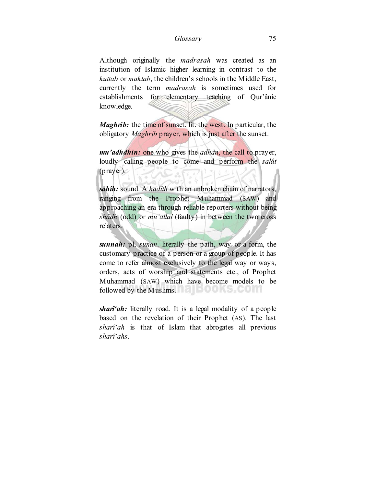### *Glossary* 75

Although originally the *madrasah* was created as an institution of Islamic higher learning in contrast to the *kuttab* or *maktab*, the children's schools in the Middle East, currently the term *madrasah* is sometimes used for establishments for elementary teaching of Qur'ânic knowledge.

*Maghrib:* the time of sunset, lit. the west. In particular, the obligatory *Maghrib* prayer, which is just after the sunset.

*mu'adhdhin:* one who gives the *adhân*, the call to prayer, loudly calling people to come and perform the *salât* (prayer).

*sahîh:* sound. A *hadîth* with an unbroken chain of narrators, ranging from the Prophet Muhammad (SAW) and approaching an era through reliable reporters without being *shâdh* (odd) or *mu'allal* (faulty) in between the two cross relaters.

*sunnah:* pl. *sunan*. literally the path, way or a form, the customary practice of a person or a group of people. It has come to refer almost exclusively to the legal way or ways, orders, acts of worship and statements etc., of Prophet Muhammad (SAW) which have become models to be followed by the Muslims.

*sharî'ah:* literally road. It is a legal modality of a people based on the revelation of their Prophet (AS). The last *sharî'ah* is that of Islam that abrogates all previous *sharî'ahs*.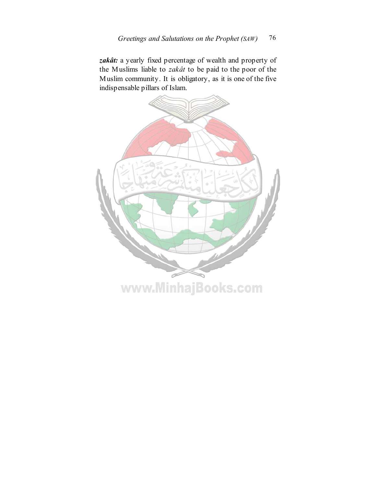*zakât:* a yearly fixed percentage of wealth and property of the Muslims liable to *zakât* to be paid to the poor of the Muslim community. It is obligatory, as it is one of the five indispensable pillars of Islam.

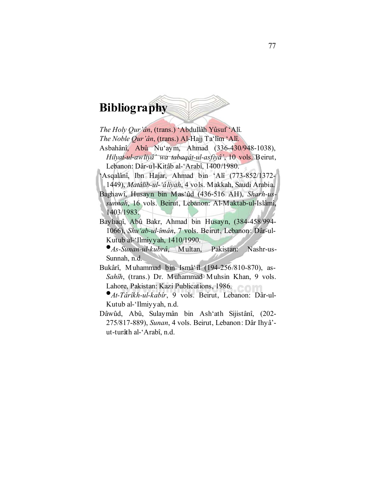# **Bibliography**

*The Holy Qur'ân*, (trans.) 'Abdullâh Yûsuf 'Alî. *The Noble Qur'ân*, (trans.) Al-Hajj Ta'lîm 'Alî.

- Asbahânî, Abû Nu'aym, Ahmad (336-430/948-1038),
- *Hilyat-ul-awliyâ' wa tabaqât-ul-asfiyâ'*, 10 vols. Beirut, Lebanon: Dâr-ul-Kitâb al-'Arabî, 1400/1980.
- 'Asqalânî, Ibn Hajar, Ahmad bin 'Alî (773-852/1372- 1449), *Matâlib-ul-'âliyah*, 4 vols. Makkah, Saudi Arabia. Baghawî, Husayn bin Mas'ûd (436-516 AH), *Sharh-ussunnah*, 16 vols. Beirut, Lebanon: Al-Maktab-ul-Islâmî, 1403/1983.
- Bayhaqî, Abû Bakr, Ahmad bin Husayn, (384-458/994- 1066), *Shu'ab-ul-îmân*, 7 vols. Beirut, Lebanon: Dâr-ul-Kutub al-'Ilmiyyah, 1410/1990.
	- **•***As-Sunan-ul-kubrâ*, Multan, Pakistan: Nashr-us-Sunnah, n.d.
- Bukârî, Muhammad bin Ismâ'îl (194-256/810-870), as-*Sahîh*, (trans.) Dr. Muhammad Muhsin Khan, 9 vols. Lahore, Pakistan: Kazi Publications, 1986.

**•***At-Târîkh-ul-kabîr*, <sup>9</sup> vols. Beirut, Lebanon: Dâr-ul-Kutub al-'Ilmiyyah, n.d.

Dâwûd, Abû, Sulaymân bin Ash'ath Sijistânî, (202- 275/817-889), *Sunan*, 4 vols. Beirut, Lebanon: Dâr Ihyâ' ut-turâth al-'Arabî, n.d.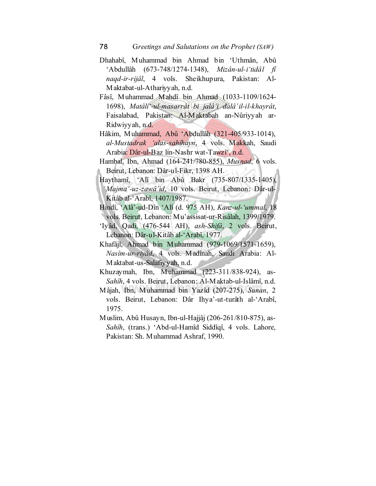- Dhahabî, Muhammad bin Ahmad bin 'Uthmân, Abû 'Abdullâh (673-748/1274-1348), *Mizân-ul-i'tidâl fî naqd-ir-rijâl*, 4 vols. Sheikhupura, Pakistan: Al-Maktabat-ul-Athariyyah, n.d.
- Fâsî, Muhammad Mahdî bin Ahmad (1033-1109/1624- 1698), *Matâli'-ul-masarrât bi jalâ'i dalâ'il-il-khayrât*, Faisalabad, Pakistan: Al-Maktabah an-Nûriyyah ar-Ridwiyyah, n.d.
- Hâkim, Muhammad, Abû 'Abdullâh (321-405/933-1014), *al-Mustadrak 'alas-sahîhayn*, 4 vols. Makkah, Saudi Arabia: Dâr-ul-Baz lin-Nashr wat-Tawzî', n.d.
- Hambal, Ibn, Ahmad (164-241/780-855), *Musnad*, 6 vols. Beirut, Lebanon: Dâr-ul-Fikr, 1398 AH.
- Haythamî, 'Alî bin Abû Bakr (735-807/1335-1405), *Majma'-uz-zawâ'id*, 10 vols. Beirut, Lebanon: Dâr-ul-Kitâb al-'Arabî, 1407/1987.
- Hindî, 'Alâ'-ud-Dîn 'Alî (d. 975 AH), *Kanz-ul-'ummal*, 18 vols. Beirut, Lebanon: Mu'assisat-ur-Risâlah, 1399/1979.
- 'Iyâd, Qadi, (476-544 AH), *ash-Shifâ*, 2 vols. Beirut, Lebanon: Dâr-ul-Kitâb al-'Arabî, 1977.
- Khafâjî, Ahmad bin Muhammad (979-1069/1571-1659), *Nasîm-ur-riyâd*, 4 vols. Madînah, Saudi Arabia: Al-Maktabat-us-Salafiyyah, n.d.
- Khuzaymah, Ibn, Muhammad (223-311/838-924), as-*Sahîh*, 4 vols. Beirut, Lebanon: Al-Maktab-ul-Islâmî, n.d.
- Mâjah, Ibn, Muhammad bin Yazîd (207-275), *Sunan*, 2 vols. Beirut, Lebanon: Dâr Ihya'-ut-turâth al-'Arabî, 1975.
- Muslim, Abû Husayn, Ibn-ul-Hajjâj (206-261/810-875), as-*Sahîh*, (trans.) 'Abd-ul-Hamîd Siddîqî, 4 vols. Lahore, Pakistan: Sh. Muhammad Ashraf, 1990.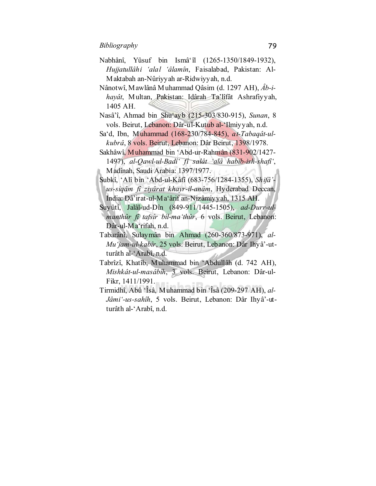- Nabhânî, Yûsuf bin Ismâ'îl (1265-1350/1849-1932), *Hujjatullâhi 'alal 'âlamîn*, Faisalabad, Pakistan: Al-Maktabah an-Nûriyyah ar-Ridwiyyah, n.d.
- Nânotwî, Mawlânâ Muhammad Qâsim (d. 1297 AH), *Âb-ihayât*, Multan, Pakistan: Idârah Ta'lîfât Ashrafiyyah, 1405 AH.
- Nasâ'î, Ahmad bin Shu'ayb (215-303/830-915), *Sunan*, 8 vols. Beirut, Lebanon: Dâr-ul-Kutub al-'Ilmiyyah, n.d.
- Sa'd, Ibn, Muhammad (168-230/784-845), *at-Tabaqât-ulkubrâ*, 8 vols. Beirut, Lebanon: Dâr Beirut, 1398/1978.
- Sakhâwî, Muhammad bin 'Abd-ur-Rahmân (831-902/1427- 1497), *al-Qawl-ul-Badî' fî salât 'alâ habîb-ish-shafî'*, Madînah, Saudi Arabia: 1397/1977.
- Subkî, 'Alî bin 'Abd-ul-Kâfî (683-756/1284-1355), *Shifâ' us-siqâm fî ziyârat khayr-il-anâm*, Hyderabad Deccan, India: Dâ'irat-ul-Ma'ârif an-Nizâmiyyah, 1315 AH.
- Suyûtî, Jalâl-ud-Dîn (849-911/1445-1505), *ad-Durr-ulmanthûr fî tafsîr bil-ma'thûr*, 6 vols. Beirut, Lebanon: Dâr-ul-Ma'rifah, n.d.
- Tabarânî, Sulaymân bin Ahmad (260-360/873-971), *al-Mu'jam-ul-kabîr*, 25 vols. Beirut, Lebanon: Dâr Ihyâ'-utturâth al-'Arabî, n.d.
- Tabrîzî, Khatîb, Muhammad bin 'Abdullâh (d. 742 AH), *Mishkât-ul-masâbîh*, 3 vols. Beirut, Lebanon: Dâr-ul-Fikr, 1411/1991.
- Tirmidhî, Abû 'Îsâ, Muhammad bin 'Îsâ (209-297 AH), *al-Jâmi'-us-sahîh*, 5 vols. Beirut, Lebanon: Dâr Ihyâ'-utturâth al-'Arabî, n.d.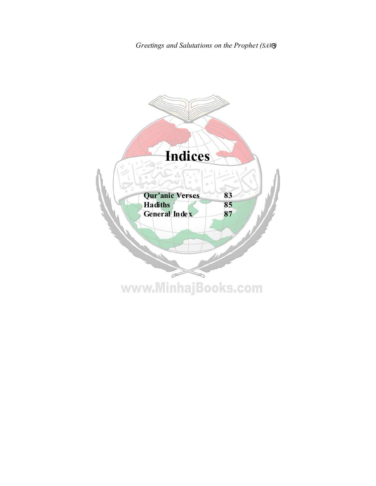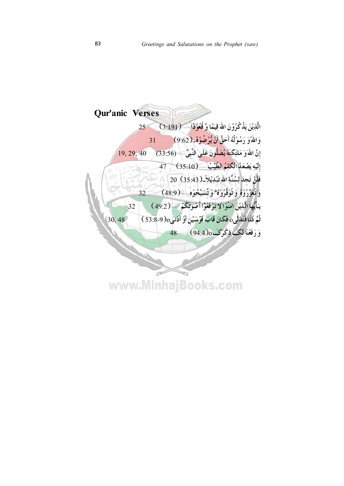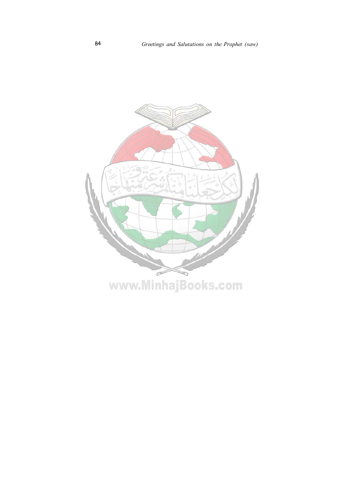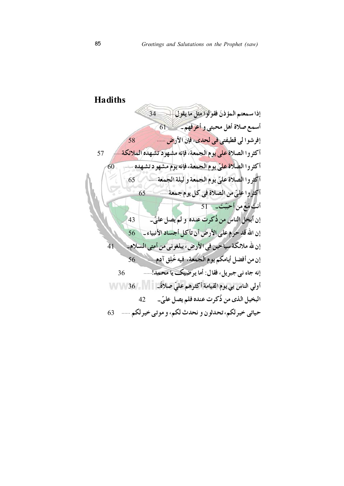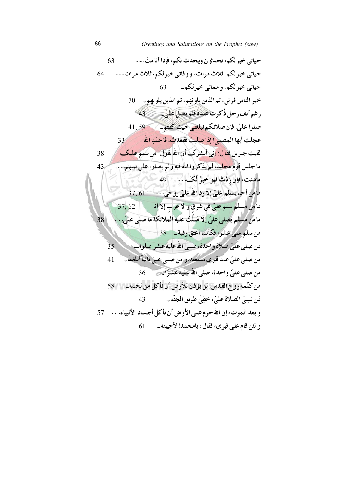*Greetings and Salutations on the Prophet (saw)* 

 41, 59 37, 61 37, 62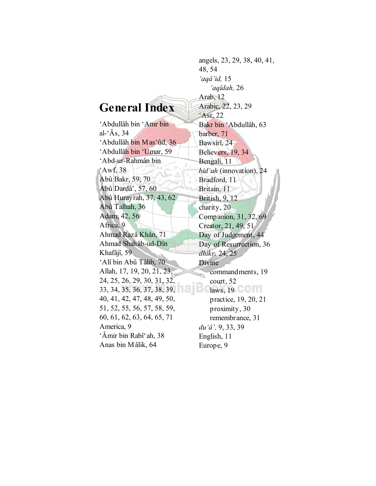## **General Index**

'Abdullâh bin 'Amr bin al-' $\hat{A}$ s, 34 'Abdullâh bin Mas'ûd, 36 'Abdullâh bin 'Umar, 59 'Abd-ur-Rahmân bin  $^{\circ}$ Awf, 38 Abû Bakr, 59, 70 Abû Dardâ', 57, 60 Abû Hurayrah, 37, 43, 62 Abû Talhah, 36 Adam, 42, 56 Africa, 9 Ahmad Razâ Khân, 71 Ahmad Shahâb-ud-Dîn Khafâjî, 59 'Alî bin Abû Tâlib, 70 Allah, 17, 19, 20, 21, 23, 24, 25, 26, 29, 30, 31, 32, 33, 34, 35, 36, 37, 38, 39, 40, 41, 42, 47, 48, 49, 50, 51, 52, 55, 56, 57, 58, 59, 60, 61, 62, 63, 64, 65, 71 America, 9 'Âmir bin Rabî'ah, 38 Anas bin Mâlik, 64

angels, 23, 29, 38, 40, 41, 48, 54 *'aqâ'id,* 15 *'aqîdah,* 26 Arab, 12 Arabic, 22, 23, 29 'Asr, 22 Bakr bin 'Abdullâh, 63 barber, 71 Bawsîrî, 24 Believers, 19, 34 Bengali, 11 *bid'ah* (innovation), 24 Bradford, 11 Britain, 11 British, 9, 12 charity, 20 Companion, 31, 32, 69 Creator, 21, 49, 51 Day of Judgement, 44 Day of Resurrection, 36 *dhikr,* 24, 25 Divine commandments, 19 court, 52 laws, 19 practice, 19, 20, 21 proximity, 30 remembrance, 31 *du'â',* 9, 33, 39 English, 11 Europe, 9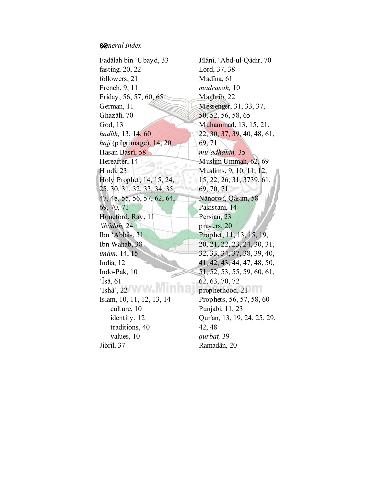## *G*88*eneral Index*

Fadâlah bin 'Ubayd, 33 fasting, 20, 22 followers, 21 French, 9, 11 Friday, 56, 57, 60, 65 German, 11 Ghazâlî, 70 God, 13 *hadîth,* 13, 14, 60 *hajj* (pilgrimage), 14, 20 Hasan Basrî, 58 Hereafter, 14 Hindi, 23 Holy Prophet, 14, 15, 24, 25, 30, 31, 32, 33, 34, 35, 47, 48, 55, 56, 57, 62, 64, 69, 70, 71 Honeford, Ray, 11 *'ibâdah,* 24 Ibn 'Abbâs, 31 Ibn Wahab, 38 *imâm,* 14, 15 India, 12 Indo-Pak, 10 'Îsâ, 61 'Ishâ', 22 Islam, 10, 11, 12, 13, 14 culture, 10 identity, 12 traditions, 40 values, 10 Jibrîl, 37

Jîlânî, 'Abd-ul-Qâdir, 70 Lord, 37, 38 Madîna, 61 *madrasah,* 10 Maghrib, 22 Messenger, 31, 33, 37, 50, 52, 56, 58, 65 Muhammad, 13, 15, 21, 22, 30, 37, 39, 40, 48, 61, 69, 71 *mu'adhdhin,* 35 Muslim Ummah, 62, 69 Muslims, 9, 10, 11, 12, 15, 22, 26, 31, 3739, 61, 69, 70, 71 Nânotwî, Qâsim, 58 Pakistani, 14 Persian, 23 prayers, 20 Prophet, 11, 13, 15, 19, 20, 21, 22, 23, 24, 30, 31, 32, 33, 34, 37, 38, 39, 40, 41, 42, 43, 44, 47, 48, 50, 51, 52, 53, 55, 59, 60, 61, 62, 63, 70, 72 prophethood, 21 Prophets, 56, 57, 58, 60 Punjabi, 11, 23 Qur'an, 13, 19, 24, 25, 29, 42, 48 *qurbat,* 39 Ramadân, 20